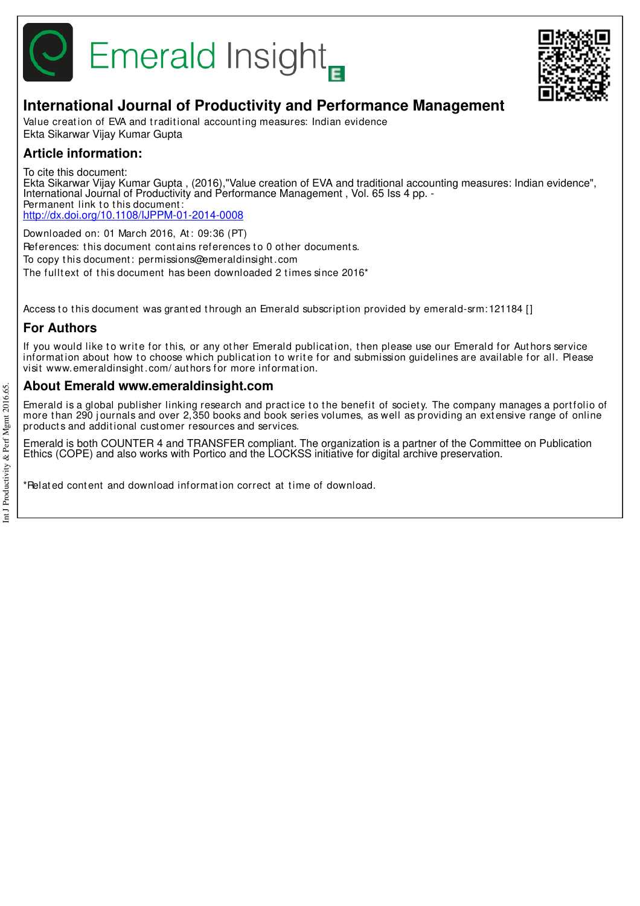

# **Emerald Insight**



# **International Journal of Productivity and Performance Management**

Value creation of EVA and traditional accounting measures: Indian evidence Ekta Sikarwar Vijay Kumar Gupta

# **Article information:**

To cite this document: Ekta Sikarwar Vijay Kumar Gupta , (2016),"Value creation of EVA and traditional accounting measures: Indian evidence", International Journal of Productivity and Performance Management , Vol. 65 Iss 4 pp. - Permanent link to this document:

http://dx.doi.org/10.1108/IJPPM-01-2014-0008

Downloaded on: 01 March 2016, At : 09:36 (PT) References: this document contains references to 0 other documents. To copy t his document : permissions@emeraldinsight .com The fulltext of this document has been downloaded 2 times since 2016<sup>\*</sup>

Access to this document was granted through an Emerald subscription provided by emerald-srm:121184 []

# **For Authors**

If you would like to write for this, or any other Emerald publication, then please use our Emerald for Authors service information about how to choose which publication to write for and submission guidelines are available for all. Please visit www.emeraldinsight .com/ aut hors for more informat ion.

# **About Emerald www.emeraldinsight.com**

Emerald is a global publisher linking research and practice to the benefit of society. The company manages a portfolio of more than 290 journals and over 2,350 books and book series volumes, as well as providing an extensive range of online product s and addit ional cust omer resources and services.

Emerald is both COUNTER 4 and TRANSFER compliant. The organization is a partner of the Committee on Publication Ethics (COPE) and also works with Portico and the LOCKSS initiative for digital archive preservation.

\*Related content and download information correct at time of download.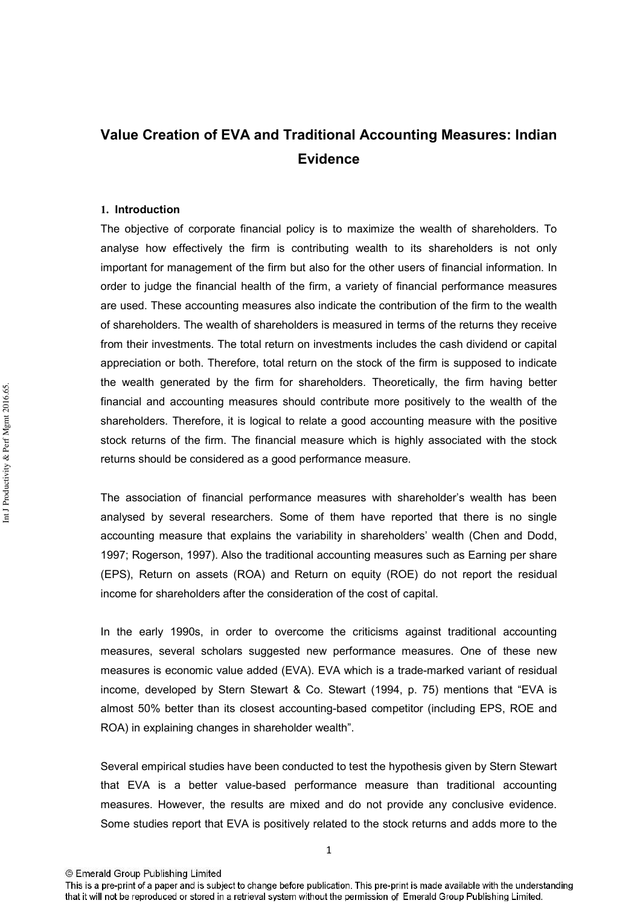# Value Creation of EVA and Traditional Accounting Measures: Indian **Evidence**

# 1. Introduction

The objective of corporate financial policy is to maximize the wealth of shareholders. To analyse how effectively the firm is contributing wealth to its shareholders is not only important for management of the firm but also for the other users of financial information. In order to judge the financial health of the firm, a variety of financial performance measures are used. These accounting measures also indicate the contribution of the firm to the wealth of shareholders. The wealth of shareholders is measured in terms of the returns they receive from their investments. The total return on investments includes the cash dividend or capital appreciation or both. Therefore, total return on the stock of the firm is supposed to indicate the wealth generated by the firm for shareholders. Theoretically, the firm having better financial and accounting measures should contribute more positively to the wealth of the shareholders. Therefore, it is logical to relate a good accounting measure with the positive stock returns of the firm. The financial measure which is highly associated with the stock returns should be considered as a good performance measure.

The association of financial performance measures with shareholder's wealth has been analysed by several researchers. Some of them have reported that there is no single accounting measure that explains the variability in shareholders' wealth (Chen and Dodd, 1997; Rogerson, 1997). Also the traditional accounting measures such as Earning per share (EPS), Return on assets (ROA) and Return on equity (ROE) do not report the residual income for shareholders after the consideration of the cost of capital.

In the early 1990s, in order to overcome the criticisms against traditional accounting measures, several scholars suggested new performance measures. One of these new measures is economic value added (EVA). EVA which is a trade-marked variant of residual income, developed by Stern Stewart & Co. Stewart (1994, p. 75) mentions that "EVA is almost 50% better than its closest accounting-based competitor (including EPS, ROE and ROA) in explaining changes in shareholder wealth".

Several empirical studies have been conducted to test the hypothesis given by Stern Stewart that EVA is a better value-based performance measure than traditional accounting measures. However, the results are mixed and do not provide any conclusive evidence. Some studies report that EVA is positively related to the stock returns and adds more to the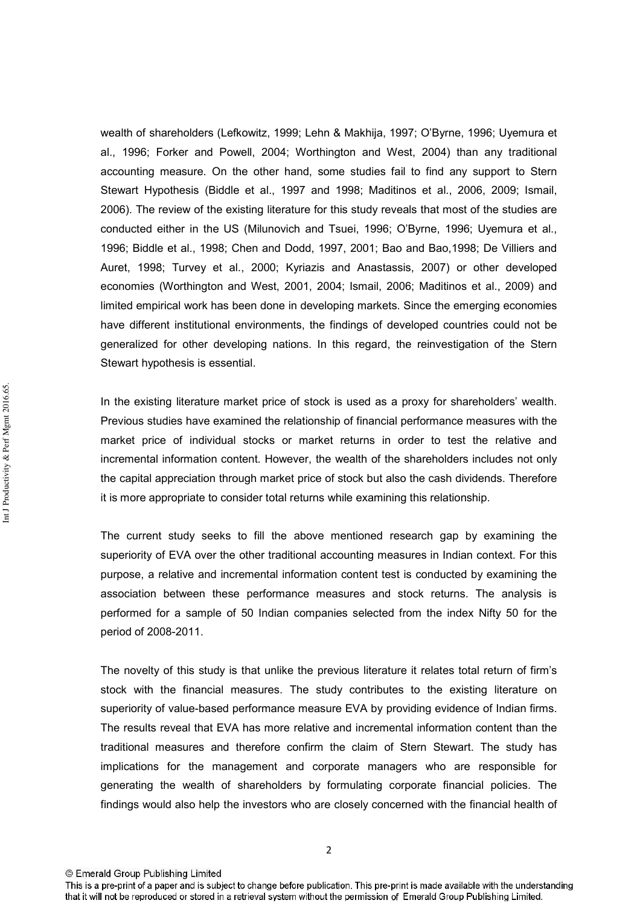wealth of shareholders (Lefkowitz, 1999; Lehn & Makhija, 1997; O'Byrne, 1996; Uyemura et al., 1996; Forker and Powell, 2004; Worthington and West, 2004) than any traditional accounting measure. On the other hand, some studies fail to find any support to Stern Stewart Hypothesis (Biddle et al., 1997 and 1998; Maditinos et al., 2006, 2009; Ismail, 2006). The review of the existing literature for this study reveals that most of the studies are conducted either in the US (Milunovich and Tsuei, 1996; O'Byrne, 1996; Uyemura et al., 1996; Biddle et al., 1998; Chen and Dodd, 1997, 2001; Bao and Bao,1998; De Villiers and Auret, 1998; Turvey et al., 2000; Kyriazis and Anastassis, 2007) or other developed economies (Worthington and West, 2001, 2004; Ismail, 2006; Maditinos et al., 2009) and limited empirical work has been done in developing markets. Since the emerging economies have different institutional environments, the findings of developed countries could not be generalized for other developing nations. In this regard, the reinvestigation of the Stern Stewart hypothesis is essential.

In the existing literature market price of stock is used as a proxy for shareholders' wealth. Previous studies have examined the relationship of financial performance measures with the market price of individual stocks or market returns in order to test the relative and incremental information content. However, the wealth of the shareholders includes not only the capital appreciation through market price of stock but also the cash dividends. Therefore it is more appropriate to consider total returns while examining this relationship.

The current study seeks to fill the above mentioned research gap by examining the superiority of EVA over the other traditional accounting measures in Indian context. For this purpose, a relative and incremental information content test is conducted by examining the association between these performance measures and stock returns. The analysis is performed for a sample of 50 Indian companies selected from the index Nifty 50 for the period of 2008-2011.

The novelty of this study is that unlike the previous literature it relates total return of firm's stock with the financial measures. The study contributes to the existing literature on superiority of value-based performance measure EVA by providing evidence of Indian firms. The results reveal that EVA has more relative and incremental information content than the traditional measures and therefore confirm the claim of Stern Stewart. The study has implications for the management and corporate managers who are responsible for generating the wealth of shareholders by formulating corporate financial policies. The findings would also help the investors who are closely concerned with the financial health of

© Emerald Group Publishing Limited

This is a pre-print of a paper and is subject to change before publication. This pre-print is made available with the understanding that it will not be reproduced or stored in a retrieval system without the permission of Emerald Group Publishing Limited.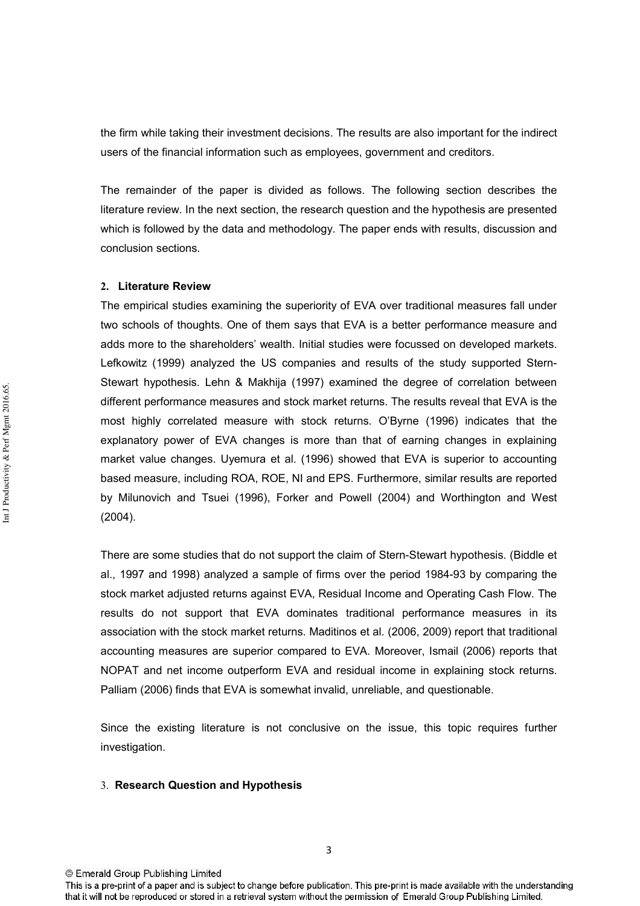the firm while taking their investment decisions. The results are also important for the indirect users of the financial information such as employees, government and creditors.

The remainder of the paper is divided as follows. The following section describes the literature review. In the next section, the research question and the hypothesis are presented which is followed by the data and methodology. The paper ends with results, discussion and conclusion sections.

#### 2. Literature Review

The empirical studies examining the superiority of EVA over traditional measures fall under two schools of thoughts. One of them says that EVA is a better performance measure and adds more to the shareholders' wealth. Initial studies were focussed on developed markets. Lefkowitz (1999) analyzed the US companies and results of the study supported Stern-Stewart hypothesis. Lehn & Makhija (1997) examined the degree of correlation between different performance measures and stock market returns. The results reveal that EVA is the most highly correlated measure with stock returns. O'Byrne (1996) indicates that the explanatory power of EVA changes is more than that of earning changes in explaining market value changes. Uyemura et al. (1996) showed that EVA is superior to accounting based measure, including ROA, ROE, NI and EPS. Furthermore, similar results are reported by Milunovich and Tsuei (1996), Forker and Powell (2004) and Worthington and West (2004).

There are some studies that do not support the claim of Stern-Stewart hypothesis. (Biddle et al., 1997 and 1998) analyzed a sample of firms over the period 1984-93 by comparing the stock market adjusted returns against EVA, Residual Income and Operating Cash Flow. The results do not support that EVA dominates traditional performance measures in its association with the stock market returns. Maditinos et al. (2006, 2009) report that traditional accounting measures are superior compared to EVA. Moreover, Ismail (2006) reports that NOPAT and net income outperform EVA and residual income in explaining stock returns. Palliam (2006) finds that EVA is somewhat invalid, unreliable, and questionable.

Since the existing literature is not conclusive on the issue, this topic requires further investigation.

#### 3. Research Question and Hypothesis

This is a pre-print of a paper and is subject to change before publication. This pre-print is made available with the understanding that it will not be reproduced or stored in a retrieval system without the permission of Emerald Group Publishing Limited.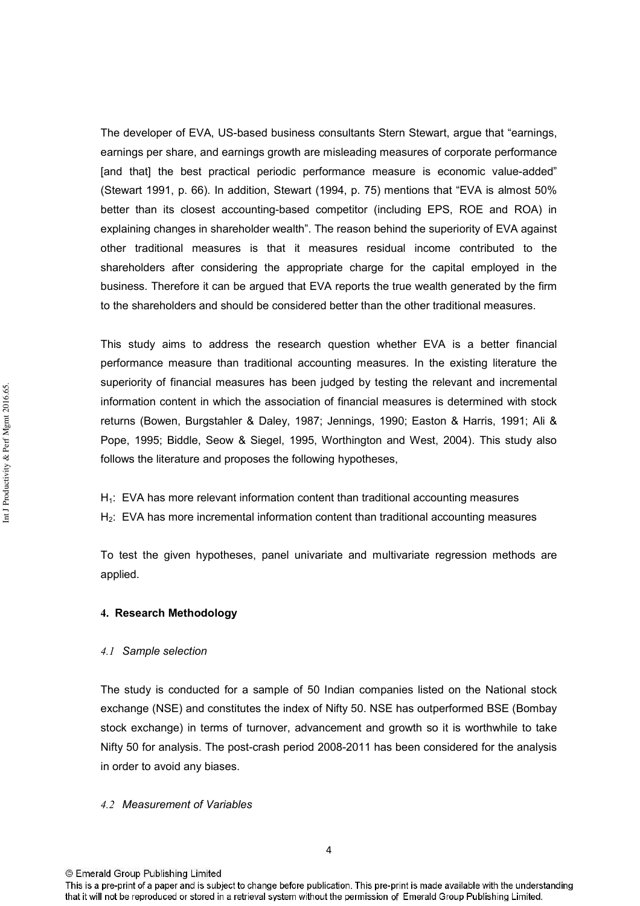The developer of EVA, US-based business consultants Stern Stewart, argue that "earnings, earnings per share, and earnings growth are misleading measures of corporate performance [and that] the best practical periodic performance measure is economic value-added" (Stewart 1991, p. 66). In addition, Stewart (1994, p. 75) mentions that "EVA is almost 50% better than its closest accounting-based competitor (including EPS, ROE and ROA) in explaining changes in shareholder wealth". The reason behind the superiority of EVA against other traditional measures is that it measures residual income contributed to the shareholders after considering the appropriate charge for the capital employed in the business. Therefore it can be argued that EVA reports the true wealth generated by the firm to the shareholders and should be considered better than the other traditional measures.

This study aims to address the research question whether EVA is a better financial performance measure than traditional accounting measures. In the existing literature the superiority of financial measures has been judged by testing the relevant and incremental information content in which the association of financial measures is determined with stock returns (Bowen, Burgstahler & Daley, 1987; Jennings, 1990; Easton & Harris, 1991; Ali & Pope, 1995; Biddle, Seow & Siegel, 1995, Worthington and West, 2004). This study also follows the literature and proposes the following hypotheses,

 $H_1$ : EVA has more relevant information content than traditional accounting measures

H<sub>2</sub>: EVA has more incremental information content than traditional accounting measures

To test the given hypotheses, panel univariate and multivariate regression methods are applied.

#### 4. Research Methodology

# 4.1 Sample selection

The study is conducted for a sample of 50 Indian companies listed on the National stock exchange (NSE) and constitutes the index of Nifty 50. NSE has outperformed BSE (Bombay stock exchange) in terms of turnover, advancement and growth so it is worthwhile to take Nifty 50 for analysis. The post-crash period 2008-2011 has been considered for the analysis in order to avoid any biases.

# 4.2 Measurement of Variables

4

© Emerald Group Publishing Limited

This is a pre-print of a paper and is subject to change before publication. This pre-print is made available with the understanding that it will not be reproduced or stored in a retrieval system without the permission of Emerald Group Publishing Limited.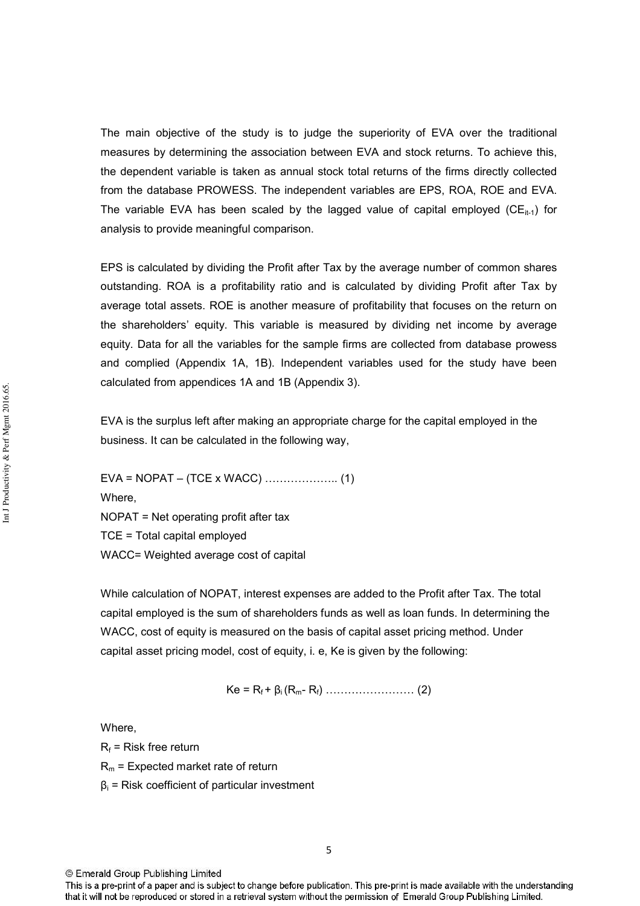The main objective of the study is to judge the superiority of EVA over the traditional measures by determining the association between EVA and stock returns. To achieve this, the dependent variable is taken as annual stock total returns of the firms directly collected from the database PROWESS. The independent variables are EPS, ROA, ROE and EVA. The variable EVA has been scaled by the lagged value of capital employed ( $CE_{it-1}$ ) for analysis to provide meaningful comparison.

EPS is calculated by dividing the Profit after Tax by the average number of common shares outstanding. ROA is a profitability ratio and is calculated by dividing Profit after Tax by average total assets. ROE is another measure of profitability that focuses on the return on the shareholders' equity. This variable is measured by dividing net income by average equity. Data for all the variables for the sample firms are collected from database prowess and complied (Appendix 1A, 1B). Independent variables used for the study have been calculated from appendices 1A and 1B (Appendix 3).

EVA is the surplus left after making an appropriate charge for the capital employed in the business. It can be calculated in the following way,

EVA = NOPAT – (TCE x WACC) KKKKKK.. (1) Where, NOPAT = Net operating profit after tax TCE = Total capital employed WACC= Weighted average cost of capital

While calculation of NOPAT, interest expenses are added to the Profit after Tax. The total capital employed is the sum of shareholders funds as well as loan funds. In determining the WACC, cost of equity is measured on the basis of capital asset pricing method. Under capital asset pricing model, cost of equity, i. e, Ke is given by the following:

Ke = Rf + βi (Rm1 Rf) KKKKKKKK (2)

Where,

 $R_f$  = Risk free return

 $R_m$  = Expected market rate of return

 $\beta_i$  = Risk coefficient of particular investment

© Emerald Group Publishing Limited

This is a pre-print of a paper and is subject to change before publication. This pre-print is made available with the understanding that it will not be reproduced or stored in a retrieval system without the permission of Emerald Group Publishing Limited.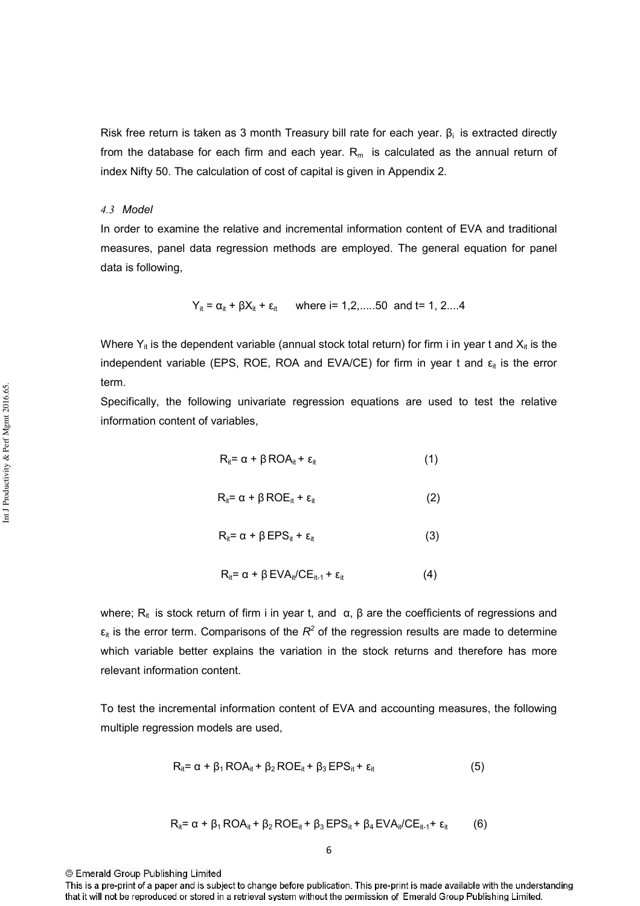Risk free return is taken as 3 month Treasury bill rate for each year.  $\beta_i$  is extracted directly from the database for each firm and each year.  $R_m$  is calculated as the annual return of index Nifty 50. The calculation of cost of capital is given in Appendix 2.

# 4.3 Model

In order to examine the relative and incremental information content of EVA and traditional measures, panel data regression methods are employed. The general equation for panel data is following,

$$
Y_{it} = \alpha_{it} + \beta X_{it} + \epsilon_{it}
$$
 where i = 1, 2,....50 and t = 1, 2....4

Where  $Y_{it}$  is the dependent variable (annual stock total return) for firm i in year t and  $X_{it}$  is the independent variable (EPS, ROE, ROA and EVA/CE) for firm in year t and  $\varepsilon_{it}$  is the error term.

Specifically, the following univariate regression equations are used to test the relative information content of variables,

$$
R_{it} = \alpha + \beta \, \text{ROA}_{it} + \varepsilon_{it} \tag{1}
$$

$$
R_{it} = \alpha + \beta \, ROE_{it} + \varepsilon_{it} \tag{2}
$$

$$
R_{it} = \alpha + \beta EPS_{it} + \varepsilon_{it} \tag{3}
$$

$$
R_{it} = \alpha + \beta \, EVA_{it}/CE_{it-1} + \varepsilon_{it} \tag{4}
$$

where; R<sub>it</sub> is stock return of firm i in year t, and  $\alpha$ , β are the coefficients of regressions and  $\varepsilon_{\text{it}}$  is the error term. Comparisons of the  $R^2$  of the regression results are made to determine which variable better explains the variation in the stock returns and therefore has more relevant information content.

To test the incremental information content of EVA and accounting measures, the following multiple regression models are used,

$$
R_{it} = \alpha + \beta_1 \text{ROA}_{it} + \beta_2 \text{ROE}_{it} + \beta_3 \text{EPS}_{it} + \epsilon_{it}
$$
 (5)

$$
R_{it} = \alpha + \beta_1 ROA_{it} + \beta_2 ROE_{it} + \beta_3 EPS_{it} + \beta_4 EVA_{it}/CE_{it-1} + \epsilon_{it}
$$
 (6)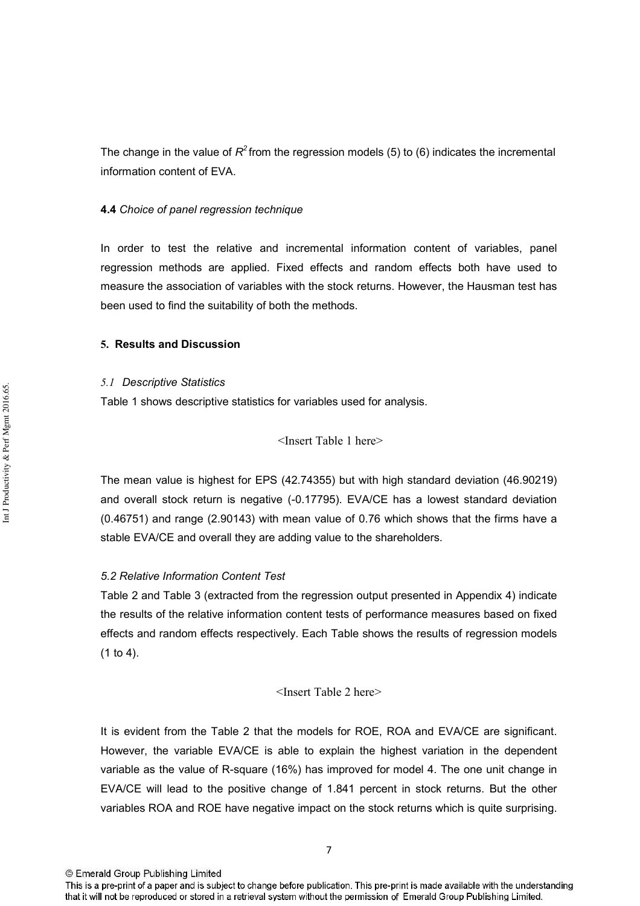The change in the value of  $R^2$  from the regression models (5) to (6) indicates the incremental information content of EVA.

#### **4.4** Choice of panel regression technique

In order to test the relative and incremental information content of variables, panel regression methods are applied. Fixed effects and random effects both have used to measure the association of variables with the stock returns. However, the Hausman test has been used to find the suitability of both the methods.

# 5. Results and Discussion

## 5.1 Descriptive Statistics

Table 1 shows descriptive statistics for variables used for analysis.

# $\leq$ Insert Table 1 here $>$

The mean value is highest for EPS (42.74355) but with high standard deviation (46.90219) and overall stock return is negative (-0.17795). EVA/CE has a lowest standard deviation (0.46751) and range (2.90143) with mean value of 0.76 which shows that the firms have a stable EVA/CE and overall they are adding value to the shareholders.

#### 5.2 Relative Information Content Test

Table 2 and Table 3 (extracted from the regression output presented in Appendix 4) indicate the results of the relative information content tests of performance measures based on fixed effects and random effects respectively. Each Table shows the results of regression models (1 to 4).

# $\leq$ Insert Table 2 here $>$

It is evident from the Table 2 that the models for ROE, ROA and EVA/CE are significant. However, the variable EVA/CE is able to explain the highest variation in the dependent variable as the value of R-square (16%) has improved for model 4. The one unit change in EVA/CE will lead to the positive change of 1.841 percent in stock returns. But the other variables ROA and ROE have negative impact on the stock returns which is quite surprising.

This is a pre-print of a paper and is subject to change before publication. This pre-print is made available with the understanding that it will not be reproduced or stored in a retrieval system without the permission of Emerald Group Publishing Limited.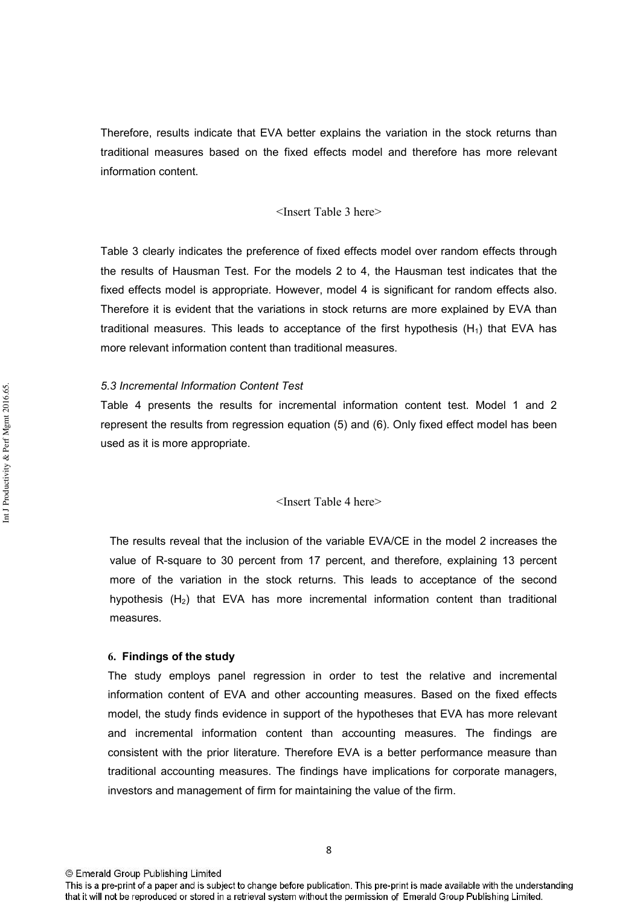Therefore, results indicate that EVA better explains the variation in the stock returns than traditional measures based on the fixed effects model and therefore has more relevant information content.

# <Insert Table 3 here>

Table 3 clearly indicates the preference of fixed effects model over random effects through the results of Hausman Test. For the models 2 to 4, the Hausman test indicates that the fixed effects model is appropriate. However, model 4 is significant for random effects also. Therefore it is evident that the variations in stock returns are more explained by EVA than traditional measures. This leads to acceptance of the first hypothesis  $(H_1)$  that EVA has more relevant information content than traditional measures.

#### 5.3 Incremental Information Content Test

Table 4 presents the results for incremental information content test. Model 1 and 2 represent the results from regression equation (5) and (6). Only fixed effect model has been used as it is more appropriate.

 $\leq$ Insert Table 4 here $>$ 

The results reveal that the inclusion of the variable EVA/CE in the model 2 increases the value of R-square to 30 percent from 17 percent, and therefore, explaining 13 percent more of the variation in the stock returns. This leads to acceptance of the second hypothesis  $(H<sub>2</sub>)$  that EVA has more incremental information content than traditional measures.

#### 6. Findings of the study

The study employs panel regression in order to test the relative and incremental information content of EVA and other accounting measures. Based on the fixed effects model, the study finds evidence in support of the hypotheses that EVA has more relevant and incremental information content than accounting measures. The findings are consistent with the prior literature. Therefore EVA is a better performance measure than traditional accounting measures. The findings have implications for corporate managers, investors and management of firm for maintaining the value of the firm.

© Emerald Group Publishing Limited

This is a pre-print of a paper and is subject to change before publication. This pre-print is made available with the understanding that it will not be reproduced or stored in a retrieval system without the permission of Emerald Group Publishing Limited.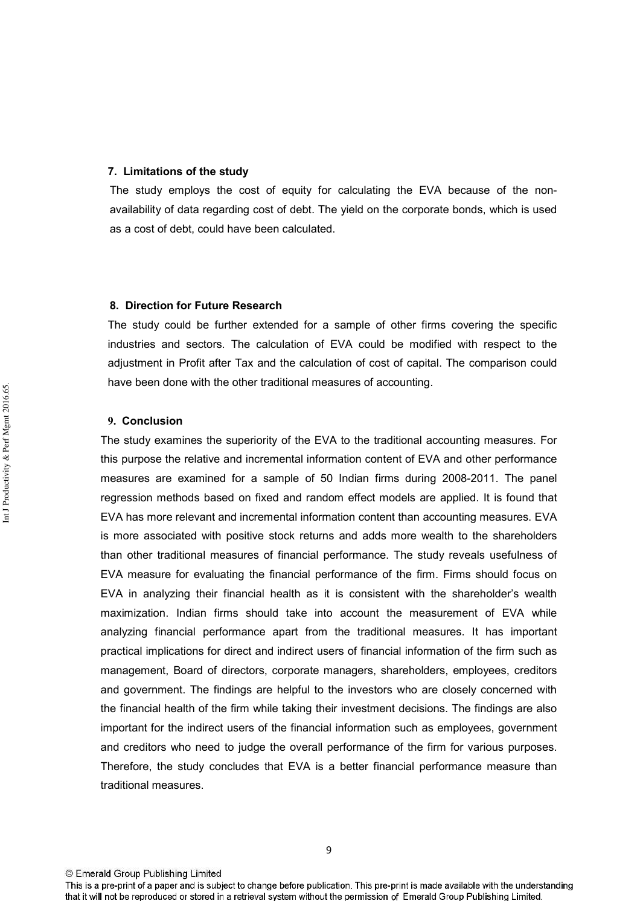#### 7. Limitations of the study

The study employs the cost of equity for calculating the EVA because of the nonavailability of data regarding cost of debt. The yield on the corporate bonds, which is used as a cost of debt, could have been calculated.

#### 8. Direction for Future Research

The study could be further extended for a sample of other firms covering the specific industries and sectors. The calculation of EVA could be modified with respect to the adjustment in Profit after Tax and the calculation of cost of capital. The comparison could have been done with the other traditional measures of accounting.

# 9. Conclusion

The study examines the superiority of the EVA to the traditional accounting measures. For this purpose the relative and incremental information content of EVA and other performance measures are examined for a sample of 50 Indian firms during 2008-2011. The panel regression methods based on fixed and random effect models are applied. It is found that EVA has more relevant and incremental information content than accounting measures. EVA is more associated with positive stock returns and adds more wealth to the shareholders than other traditional measures of financial performance. The study reveals usefulness of EVA measure for evaluating the financial performance of the firm. Firms should focus on EVA in analyzing their financial health as it is consistent with the shareholder's wealth maximization. Indian firms should take into account the measurement of EVA while analyzing financial performance apart from the traditional measures. It has important practical implications for direct and indirect users of financial information of the firm such as management, Board of directors, corporate managers, shareholders, employees, creditors and government. The findings are helpful to the investors who are closely concerned with the financial health of the firm while taking their investment decisions. The findings are also important for the indirect users of the financial information such as employees, government and creditors who need to judge the overall performance of the firm for various purposes. Therefore, the study concludes that EVA is a better financial performance measure than traditional measures.

This is a pre-print of a paper and is subject to change before publication. This pre-print is made available with the understanding that it will not be reproduced or stored in a retrieval system without the permission of Emerald Group Publishing Limited.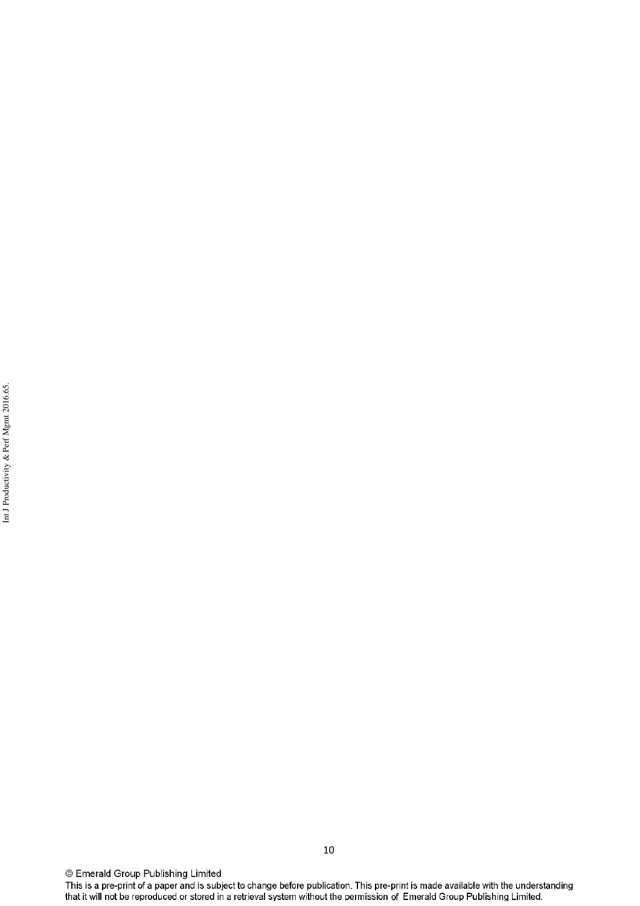Int J Productivity & Perf Mgmt 2016.65. Int J Productivity & Perf Mgmt 2016.65.

© Emerald Group Publishing Limited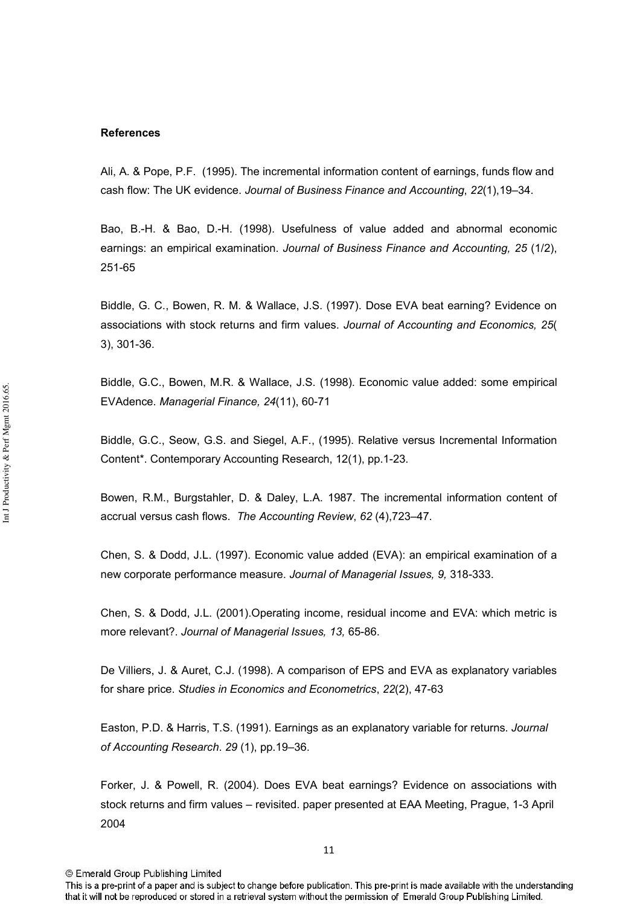#### **References**

Ali, A. & Pope, P.F. (1995). The incremental information content of earnings, funds flow and cash flow: The UK evidence. Journal of Business Finance and Accounting, 22(1),19–34.

Bao, B.1H. & Bao, D.1H. (1998). Usefulness of value added and abnormal economic earnings: an empirical examination. Journal of Business Finance and Accounting, 25 (1/2), 251-65

Biddle, G. C., Bowen, R. M. & Wallace, J.S. (1997). Dose EVA beat earning? Evidence on associations with stock returns and firm values. Journal of Accounting and Economics, 25( 3), 301-36.

Biddle, G.C., Bowen, M.R. & Wallace, J.S. (1998). Economic value added: some empirical EVAdence. Managerial Finance, 24(11), 60-71

Biddle, G.C., Seow, G.S. and Siegel, A.F., (1995). Relative versus Incremental Information Content\*. Contemporary Accounting Research, 12(1), pp.1-23.

Bowen, R.M., Burgstahler, D. & Daley, L.A. 1987. The incremental information content of accrual versus cash flows. The Accounting Review, 62 (4),723–47.

Chen, S. & Dodd, J.L. (1997). Economic value added (EVA): an empirical examination of a new corporate performance measure. Journal of Managerial Issues, 9, 318-333.

Chen, S. & Dodd, J.L. (2001).Operating income, residual income and EVA: which metric is more relevant?. Journal of Managerial Issues, 13, 65-86.

De Villiers, J. & Auret, C.J. (1998). A comparison of EPS and EVA as explanatory variables for share price. Studies in Economics and Econometrics, 22(2), 47-63

Easton, P.D. & Harris, T.S. (1991). Earnings as an explanatory variable for returns. *Journal of Accounting Research. 29 (1), pp.19–36.* 

Forker, J. & Powell, R. (2004). Does EVA beat earnings? Evidence on associations with stock returns and firm values – revisited. paper presented at EAA Meeting, Prague, 1-3 April 2004

This is a pre-print of a paper and is subject to change before publication. This pre-print is made available with the understanding that it will not be reproduced or stored in a retrieval system without the permission of Emerald Group Publishing Limited.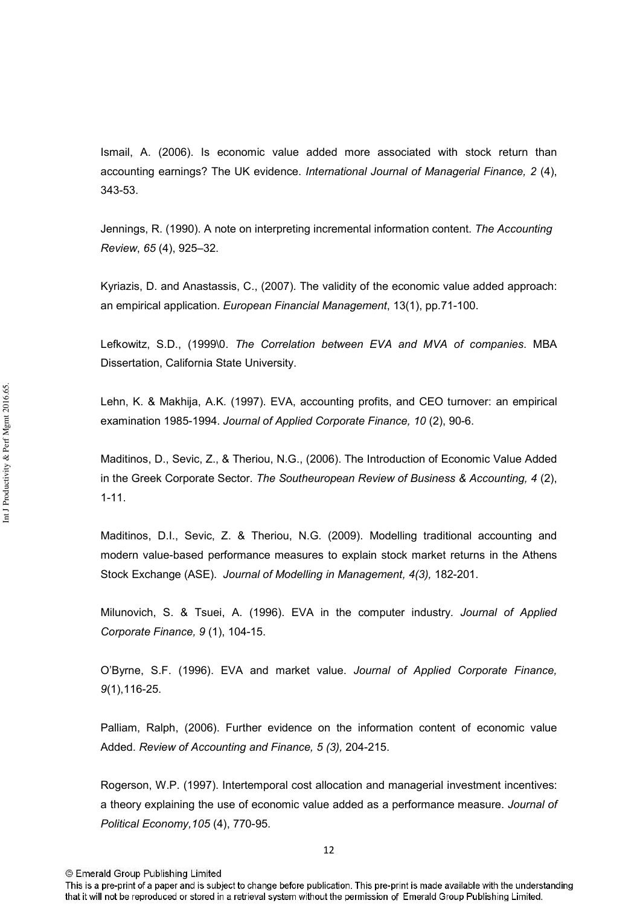Ismail, A. (2006). Is economic value added more associated with stock return than accounting earnings? The UK evidence. *International Journal of Managerial Finance, 2 (4),* 343-53.

Jennings, R. (1990). A note on interpreting incremental information content. The Accounting *)*, *\** (4), 925–32.

Kyriazis, D. and Anastassis, C., (2007). The validity of the economic value added approach: an empirical application. *European Financial Management*, 13(1), pp.71-100.

Lefkowitz, S.D., (1999\0. The Correlation between EVA and MVA of companies. MBA Dissertation, California State University.

Lehn, K. & Makhija, A.K. (1997). EVA, accounting profits, and CEO turnover: an empirical examination 1985-1994. Journal of Applied Corporate Finance, 10 (2), 90-6.

Maditinos, D., Sevic, Z., & Theriou, N.G., (2006). The Introduction of Economic Value Added in the Greek Corporate Sector. *The Southeuropean Review of Business & Accounting, 4 (2),* 1-11.

Maditinos, D.I., Sevic, Z. & Theriou, N.G. (2009). Modelling traditional accounting and modern value-based performance measures to explain stock market returns in the Athens Stock Exchange (ASE). Journal of Modelling in Management, 4(3), 182-201.

Milunovich, S. & Tsuei, A. (1996). EVA in the computer industry. *Journal of Applied* Corporate Finance, 9 (1), 104-15.

O'Byrne, S.F. (1996). EVA and market value. Journal of Applied Corporate Finance,  $9(1)$ , 116-25.

Palliam, Ralph, (2006). Further evidence on the information content of economic value Added. *Review of Accounting and Finance, 5 (3), 204-215.* 

Rogerson, W.P. (1997). Intertemporal cost allocation and managerial investment incentives: a theory explaining the use of economic value added as a performance measure. Journal of *Political Economy, 105 (4), 770-95.* 

This is a pre-print of a paper and is subject to change before publication. This pre-print is made available with the understanding that it will not be reproduced or stored in a retrieval system without the permission of Emerald Group Publishing Limited.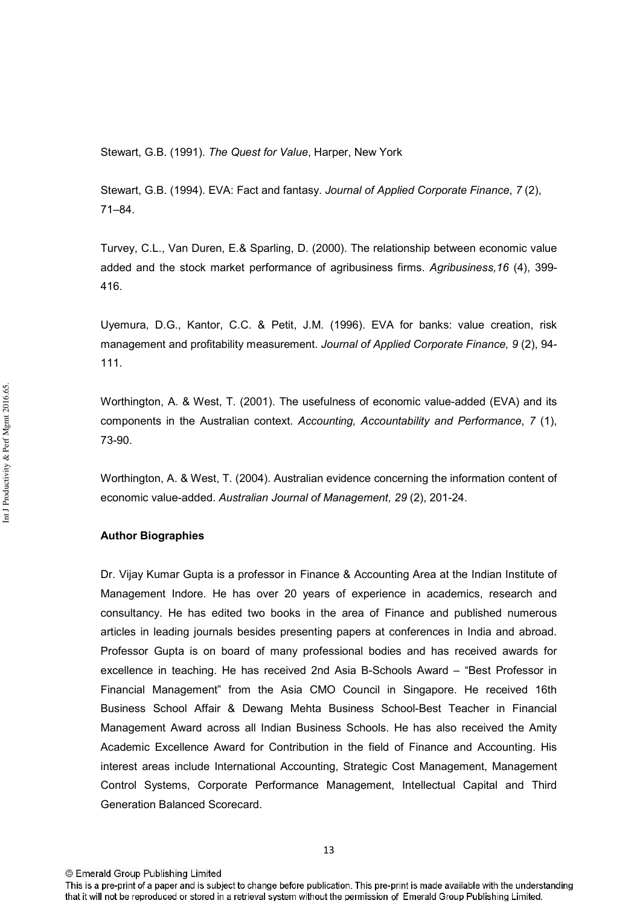Stewart, G.B. (1991). The Quest for Value, Harper, New York

Stewart, G.B. (1994). EVA: Fact and fantasy. Journal of Applied Corporate Finance, 7 (2), 71–84.

Turvey, C.L., Van Duren, E.& Sparling, D. (2000). The relationship between economic value added and the stock market performance of agribusiness firms. Agribusiness, 16 (4), 399-416.

Uyemura, D.G., Kantor, C.C. & Petit, J.M. (1996). EVA for banks: value creation, risk management and profitability measurement. Journal of Applied Corporate Finance, 9 (2), 94-111.

Worthington, A. & West, T. (2001). The usefulness of economic value-added (EVA) and its components in the Australian context. *Accounting, Accountability and Performance*, 7 (1), 73-90.

Worthington, A. & West, T. (2004). Australian evidence concerning the information content of economic value-added. Australian Journal of Management, 29 (2), 201-24.

#### **Author Biographies**

Dr. Vijay Kumar Gupta is a professor in Finance & Accounting Area at the Indian Institute of Management Indore. He has over 20 years of experience in academics, research and consultancy. He has edited two books in the area of Finance and published numerous articles in leading journals besides presenting papers at conferences in India and abroad. Professor Gupta is on board of many professional bodies and has received awards for excellence in teaching. He has received 2nd Asia B-Schools Award – "Best Professor in Financial Management" from the Asia CMO Council in Singapore. He received 16th Business School Affair & Dewang Mehta Business School-Best Teacher in Financial Management Award across all Indian Business Schools. He has also received the Amity Academic Excellence Award for Contribution in the field of Finance and Accounting. His interest areas include International Accounting, Strategic Cost Management, Management Control Systems, Corporate Performance Management, Intellectual Capital and Third Generation Balanced Scorecard.

This is a pre-print of a paper and is subject to change before publication. This pre-print is made available with the understanding that it will not be reproduced or stored in a retrieval system without the permission of Emerald Group Publishing Limited.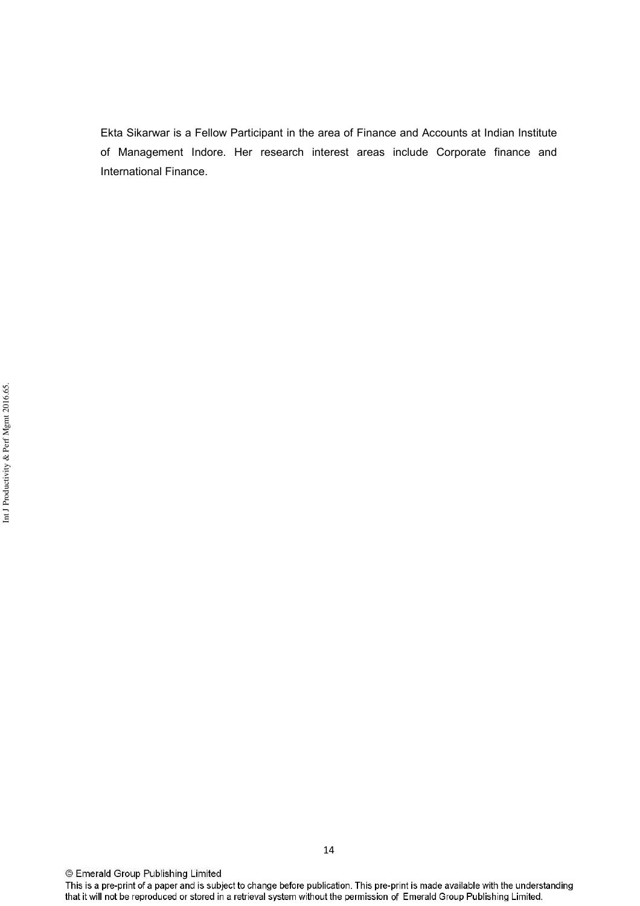Ekta Sikarwar is a Fellow Participant in the area of Finance and Accounts at Indian Institute of Management Indore. Her research interest areas include Corporate finance and International Finance.

© Emerald Group Publishing Limited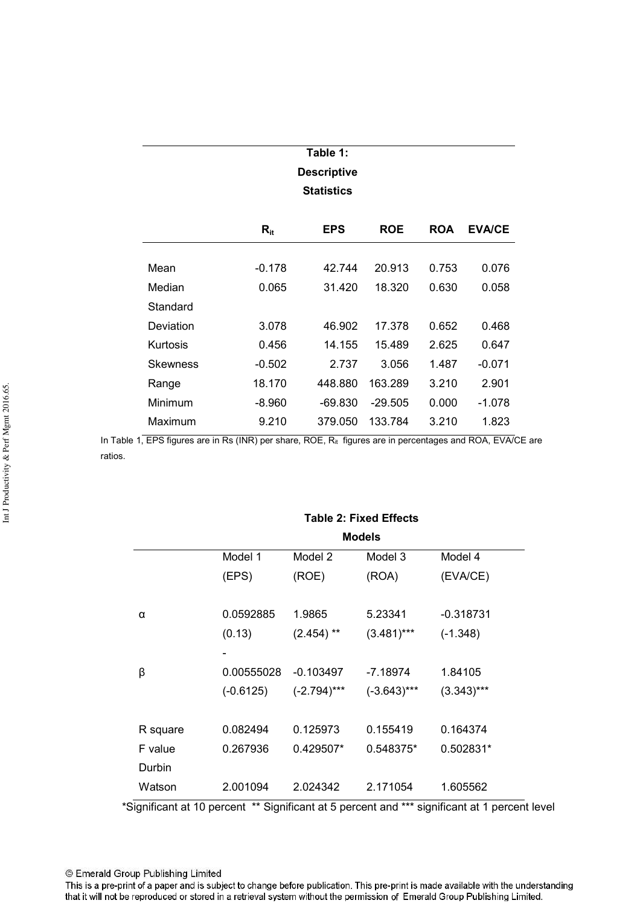|                 |          | Table 1:<br><b>Descriptive</b><br><b>Statistics</b> |            |       |               |
|-----------------|----------|-----------------------------------------------------|------------|-------|---------------|
|                 | $R_{it}$ | <b>EPS</b>                                          | <b>ROE</b> | ROA   | <b>EVA/CE</b> |
| Mean            | $-0.178$ | 42.744                                              | 20.913     | 0.753 | 0.076         |
| Median          | 0.065    | 31.420                                              | 18.320     | 0.630 | 0.058         |
| Standard        |          |                                                     |            |       |               |
| Deviation       | 3.078    | 46.902                                              | 17.378     | 0.652 | 0.468         |
| <b>Kurtosis</b> | 0.456    | 14.155                                              | 15.489     | 2.625 | 0.647         |
| Skewness        | $-0.502$ | 2.737                                               | 3.056      | 1.487 | $-0.071$      |
| Range           | 18.170   | 448.880                                             | 163.289    | 3.210 | 2.901         |
| Minimum         | $-8.960$ | $-69.830$                                           | $-29.505$  | 0.000 | $-1.078$      |
| Maximum         | 9.210    | 379.050                                             | 133.784    | 3.210 | 1.823         |

In Table 1, EPS figures are in Rs (INR) per share, ROE, R<sub>it</sub> figures are in percentages and ROA, EVA/CE are ratios.

**Table 2: Fixed Effects** 

|          |             |                | <b>Models</b> |              |
|----------|-------------|----------------|---------------|--------------|
|          | Model 1     | Model 2        | Model 3       | Model 4      |
|          | (EPS)       | (ROE)          | (ROA)         | (EVA/CE)     |
|          |             |                |               |              |
| α        | 0.0592885   | 1.9865         | 5.23341       | $-0.318731$  |
|          | (0.13)      | $(2.454)$ **   | $(3.481)***$  | $(-1.348)$   |
|          |             |                |               |              |
| β        | 0.00555028  | $-0.103497$    | $-7.18974$    | 1.84105      |
|          | $(-0.6125)$ | $(-2.794)$ *** | $(-3.643)***$ | $(3.343)***$ |
|          |             |                |               |              |
| R square | 0.082494    | 0.125973       | 0.155419      | 0.164374     |
| F value  | 0.267936    | 0.429507*      | 0.548375*     | 0.502831*    |
| Durbin   |             |                |               |              |
| Watson   | 2.001094    | 2.024342       | 2.171054      | 1.605562     |

\*Significant at 10 percent \*\* Significant at 5 percent and \*\*\* significant at 1 percent level

© Emerald Group Publishing Limited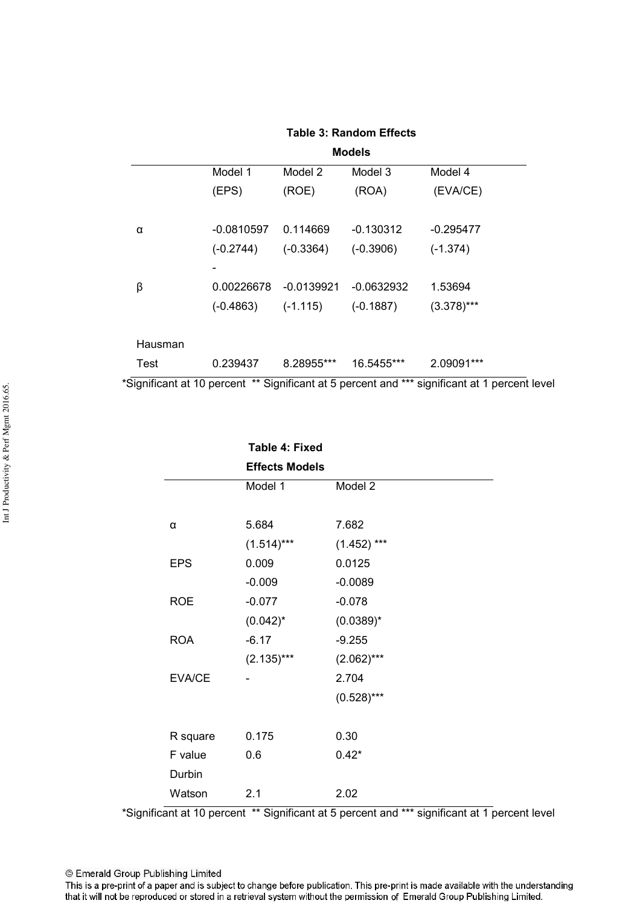#### **Table 3: Random Effects**

|         |              |              | <b>Models</b> |              |
|---------|--------------|--------------|---------------|--------------|
|         | Model 1      | Model 2      | Model 3       | Model 4      |
|         | (EPS)        | (ROE)        | (ROA)         | (EVA/CE)     |
| α       | $-0.0810597$ | 0.114669     | $-0.130312$   | $-0.295477$  |
|         | $(-0.2744)$  | $(-0.3364)$  | $(-0.3906)$   | $(-1.374)$   |
|         |              |              |               |              |
| β       | 0.00226678   | $-0.0139921$ | $-0.0632932$  | 1.53694      |
|         | $(-0.4863)$  | $(-1.115)$   | $(-0.1887)$   | $(3.378)***$ |
| Hausman |              |              |               |              |
| Test    | 0.239437     | 8.28955***   | 16.5455***    | 2.09091***   |

|               | <b>Table 4: Fixed</b> |               |  |
|---------------|-----------------------|---------------|--|
|               | <b>Effects Models</b> |               |  |
|               | Model 1               | Model 2       |  |
|               |                       |               |  |
| α             | 5.684                 | 7.682         |  |
|               | $(1.514)***$          | $(1.452)$ *** |  |
| <b>EPS</b>    | 0.009                 | 0.0125        |  |
|               | $-0.009$              | $-0.0089$     |  |
| <b>ROE</b>    | $-0.077$              | $-0.078$      |  |
|               | $(0.042)^*$           | $(0.0389)^*$  |  |
| <b>ROA</b>    | $-6.17$               | $-9.255$      |  |
|               | $(2.135)***$          | $(2.062)***$  |  |
| <b>EVA/CE</b> |                       | 2.704         |  |
|               |                       | $(0.528)$ *** |  |
|               |                       |               |  |
| R square      | 0.175                 | 0.30          |  |
| F value       | 0.6                   | $0.42*$       |  |
| Durbin        |                       |               |  |
| Watson        | 2.1                   | 2.02          |  |

\*Significant at 10 percent \*\* Significant at 5 percent and \*\*\* significant at 1 percent level

© Emerald Group Publishing Limited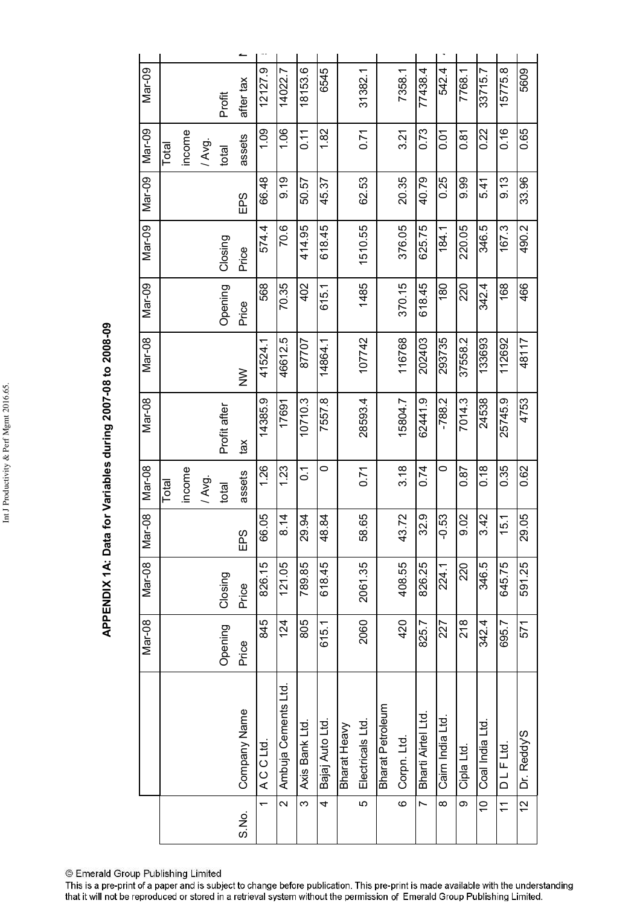Int J Productivity & Perf Mgmt 2016.65. Int J Productivity & Perf Mgmt 2016.65.

APPENDIX 1A: Da for Va <u>ក្ខា</u> **a** during 2008 to 2008-09

|              |       |        |        |              | ←            |                |                         |                |                 |              |                  |                         |                      |                    |                 |                        |                 |                                       |               |
|--------------|-------|--------|--------|--------------|--------------|----------------|-------------------------|----------------|-----------------|--------------|------------------|-------------------------|----------------------|--------------------|-----------------|------------------------|-----------------|---------------------------------------|---------------|
| Mar-09       |       |        |        | Profit       | after tax    | 12127.9        | 14022.7                 | 18153.6        | 6545            |              | 31382.1          |                         | 7358.1               | 77438.4            | 542.4           | 7768.1                 | 33715.7         | 15775.8                               | 5609          |
| Mar-09       | Total | income | / Avg. | total        | assets       | 1.09           | 1.06                    | $\frac{1}{2}$  | 1.82            |              | 0.71             |                         | 3.21                 | 0.73               | 0.07            | 0.81                   | 0.22            | 0.16                                  | 0.65          |
| Mar-09       |       |        |        |              | EPS          | 66.48          | 9.19                    | 50.57          | 45.37           |              | 62.53            |                         | 20.35                | 40.79              | 0.25            | 9.99                   | 5.41            | 0.13                                  | 33.96         |
| Mar-09       |       |        |        | Closing      | Price        | 574.4          | 70.6                    | 414.95         | 618.45          |              | 1510.55          |                         | 376.05               | 625.75             | 184.1           | 220.05                 | 346.5           | 167.3                                 | 490.2         |
| Mar-09       |       |        |        | Opening      | Price        | 568            | 70.35                   | 402            | 615.1           |              | 1485             |                         | 370.15               | 618.45             | 180             | 220                    | 342.4           | 168                                   | 466           |
| Mar-08       |       |        |        |              | $\geq$       | 41524.1        | 46612.5                 | 87707          | 14864.1         |              | 107742           |                         | 116768               | 202403             | 293735          | 37558.2                | 133693          | 112692                                | 48117         |
| Mar-08       |       |        |        | Profit after | tax          | 14385.9        | 17691                   | 10710.3        | 7557.8          |              | 28593.4          |                         | 15804.7              | 62441.9            | $-788.2$        | 7014.3                 | 24538           | 25745.9                               | 4753          |
| Mar-08       | Total | income | / Avg. | total        | assets       | 1.26           | 1.23                    | $\overline{C}$ | 0               |              | 0.71             |                         | 3.18                 | 0.74               | 0               | 0.87                   | 0.18            | 0.35                                  | 0.62          |
| ஜ<br>$Mar-0$ |       |        |        |              | EPS          | டி<br>66.0     | 4<br>$\overline{8}$ .   | Ř<br>თ<br>29.  | 48.84           |              | 58.65            |                         | $\mathbf{S}$<br>43.7 | တ<br>32.           | $-0.53$         | $\mathbf{\Omega}$<br>၁ | Ν<br>ઝ.<br>ત    | $\overline{\phantom{0}}$<br><u>16</u> | ம<br>0.6Z     |
| Mar-08       |       |        |        | Closing      | Price        | 826.15         | 121.05                  | 789.85         | 618.45          |              | 2061.35          |                         | 408.55               | 826.25             | 224.1           | 220                    | 346.5           | 645.75                                | 591.25        |
| Mar-08       |       |        |        | Opening      | Price        | 845            | 124                     | 805            | 615.1           |              | 2060             |                         | 420                  | 825.7              | 227             | 218                    | 342.4           | 695.7                                 | 571           |
|              |       |        |        |              | Company Name | A C C Ltd.     | Ambuja Cements Ltd.     | Axis Bank Ltd. | Bajaj Auto Ltd. | Bharat Heavy | Electricals Ltd. | <b>Bharat Petroleum</b> | Corpn. Ltd.          | Bharti Airtel Ltd. | Caim India Ltd. | Cipla Ltd.             | Coal India Ltd. | D L F Ltd.                            | Dr. Reddy'S   |
|              |       |        |        |              | S.No.        | $\overline{ }$ | $\overline{\mathsf{N}}$ | က              | 4               |              | ယ                |                         | $\circ$              | $\overline{r}$     | $\infty$        | $\infty$               | $\tilde{a}$     | $\overline{1}$                        | $\frac{1}{2}$ |

© Emerald Group Publishing Limited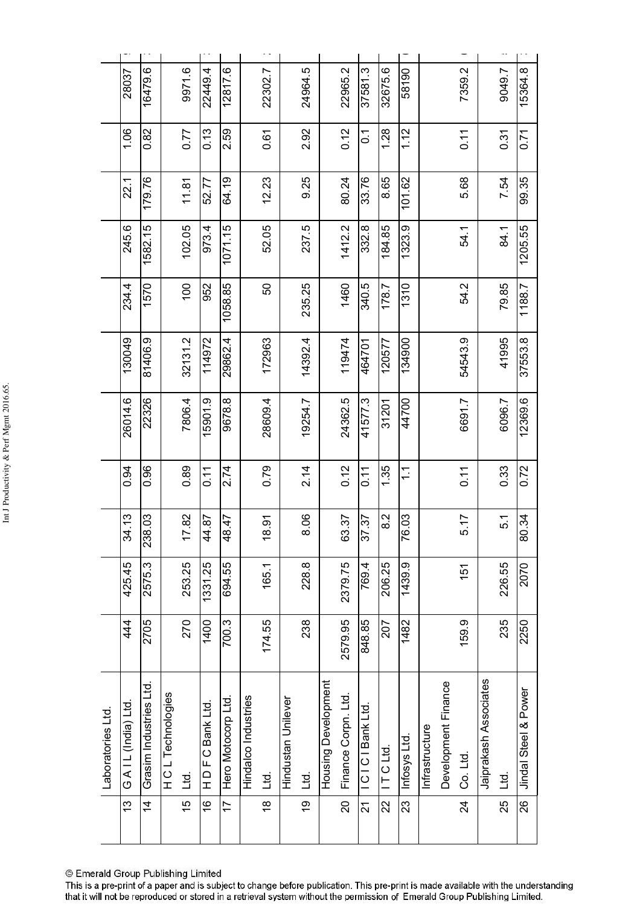13 G A I L (India) Ltd. 444 | 445 | 34.13 | 0.94 | 26014.6 | 234.4 | 234.4 | 245.6 | 22.1 | 1.06 | 28037 |! 14 Grasim Industries Ltd. | 2705 | 2575.3 | 238.03 | 81406.9 | 1570 | 1582.15 | 179.76 | 16479.6 | 1 16 H D F C Bank Ltd. 14.87 | 114.972 | 114972 | 952 | 973.4 | 52.77 | 0.13 | 22449.4 |: Ltd. 174.55 165.1 165.1 0.79 28609.4 172963 50 50 52.05 12.23 0.61 22302.7 2 23 | Infosys Ltd. 1482 | 1482 | 1480 | 1340 | 1340 | 1370 | 1370 | 1370 | 1482 | 1482 | 1482 | 1482 | 1482 | 1 Co. Ltd. 159.9 159.9 151 5.17 0.11 6691.7 54543.9 54.2 54.1 54.1 5.68 0.11 7359.2 1 Ltd. 235 235 226.55 5.1 0.33 6096.7 41995 79.85 84.1 7.54 0.31 9049.7 5<br>Ltd. 2 26 Jindal Steel & Power | 2250 | 272 | 0.72 | 37553.8 | 37553.8 | 1188.7 | 1205.55 | 99.35 | 15364.8 | 39.35 | 58190 9971.6 37581.3 32675.6 7359.2 15364.8 28037 16479.6 22449.4 12817.6 22302.7 24964.5 22965.2 9049.7 Ltd. 270 253.25 17.82 0.89 7806.4 32131.2 100 102.05 11.81 0.77 9971.6 17 Hero Motocorp Ltd. 700.3 694.55 48.47 2.74 9678.8 29862.4 1058.85 1071.15 64.19 2.59 12817.6 Ltd. 238 228.8 8.06 2.14 19254.7 14392.4 235.25 237.5 9.25 2.92 24964.5 Finance Corpn. Ltd. 2579.95 2379.75 63.37 0.12 24362.5 119474 1460 1412.2 80.24 0.12 22965.2 21 I C I C I Bank Ltd. 848.85 769.4 37.37 0.11 41577.3 464701 340.5 332.8 33.76 0.1 37581.3 22 I T C Ltd. 207 206.25 8.2 1.35 31201 120577 178.7 184.85 8.65 1.28 32675.6 2.92  $0.12$ 1.06 0.82 0.77  $0.13$ 2.59  $\overline{0.1}$  $1.28$  $1.12$  $\overline{0.11}$  $0.61$  $0.31$  $0.71$ 64.19 12.23 25 80.24 33.76 8.65 5.68 7.54 35 179.76  $11.81$ 52.77 101.62  $22.1$ တ 99. 102.05 1412.2 184.85 1323.9 245.6 973.4 332.8  $\frac{5}{1}$  $1071.15$ 05 rò. 54.1 84.1 55 237. 582.  $1205.5$ ន 235.25 340.5 234.4 1570 100 952 1460  $7.87$ 1310 54.2 79.85 1058.85 <u>င</u>္တ 1188. 41995 670081 တ 32131.2 114972 29862.4 14392.4 54543.9 37553.8 172963 119474 464701 120577 134900 81406. 7806.4 9678.8 6096.7 24362.5 26014.6 22326 6.1069 28609.4 19254.7 41577.3 44700 5691.7 2369.6 31201 0.72 0.96 0.89  $2.74$ 0.79  $2.14$  $0.12$  $1.35$ 0.33 0.94  $0.11$  $0.11$  $\tilde{\mathcal{L}}$  $0.11$ 34.13 238.03 17.82 8.06  $8.2$ 76.03 5.17 80.34 18.91 63.37 37.37 44.87 48.47  $5.1$ 253.25 228.8 1439.9 2575.3 206.25 694.55 2379.75 769.4 226.55 2070 425.45 1331.25 165.1  $151$ 270 1400 700.3 174.55 159.9 235 444 2705 238 2579.95 848.85 207 1482 2250 Jaiprakash Associates Housing Development Development Finance Jaiprakash Associates Grasim Industries Ltd. Development Finance Housing Developmen H C L Technologies Steel & Power H C L Technologies Hindalco Industries Hindustan Unilever Finance Corpn. Ltd. Hindalco Industries Hero Motocorp Ltd. Hindustan Unilever G A I L (India) Ltd. H D F C Bank Ltd. Laboratories Ltd. I C I C I Bank Ltd. Laboratories Ltd. Infrastructure nfrastructure Infosys Ltd. ITCLtd. Co. Ltd. Jindal<sup>s</sup> <u>Ltd</u> Ltd. Ltd.  $\Xi$  $\tilde{\omega}$  $\tilde{4}$  $\overline{10}$  $\overset{\circ}{=}$  $\overline{1}$  $\frac{\infty}{2}$  $\overline{z}$  $22 \text{ }$ 23  $\overline{z}$ 25 8 19 20

© Emerald Group Publishing Limited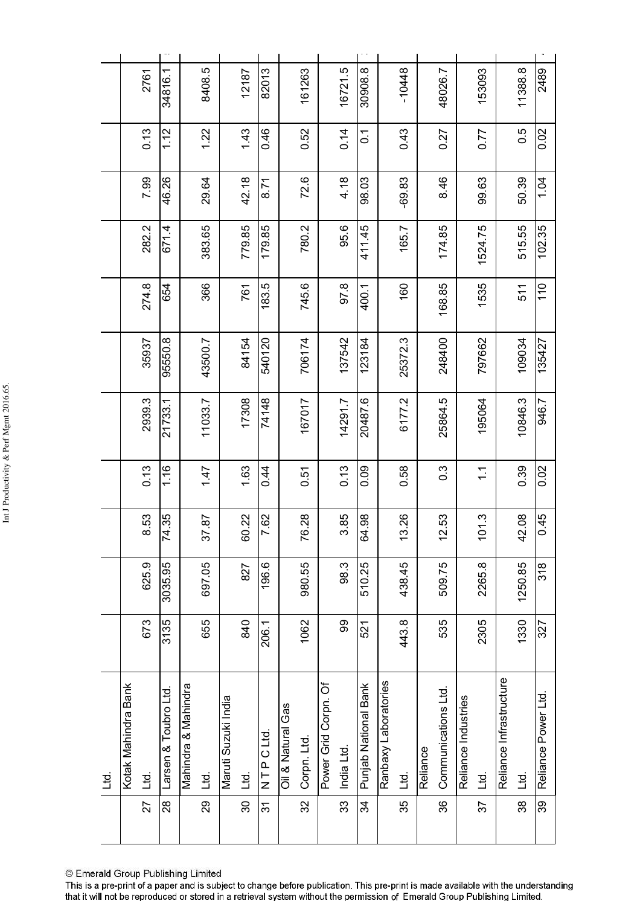|      |                     | 2761   | 34816.1              |                     | 8408.5    |                     | 12187  | 82013   |                   | 161263      |                      | 16721.5      | 30908.8              |                      | $-10448$ |          | 48026.7             |                     | 153093                |                         | 11388.8         | 2489               |
|------|---------------------|--------|----------------------|---------------------|-----------|---------------------|--------|---------|-------------------|-------------|----------------------|--------------|----------------------|----------------------|----------|----------|---------------------|---------------------|-----------------------|-------------------------|-----------------|--------------------|
|      |                     | 0.13   | 1.12                 |                     | 1.22      |                     | 1.43   | 0.46    |                   | 0.52        |                      | 0.14         | $\overline{C}$       |                      | 0.43     |          | 0.27                |                     | 0.77                  |                         | 0.5             | 0.02               |
|      |                     | 7.99   | 46.26                |                     | 29.64     |                     | 42.18  | 8.71    |                   | 72.6        |                      | 4.18         | 98.03                |                      | $-69.83$ |          | 8.46                |                     | 99.63                 |                         | 50.39           | 1.04               |
|      |                     | 282.2  | 671.4                |                     | 383.65    |                     | 779.85 | 179.85  |                   | 780.2       |                      | 95.6         | 411.45               |                      | 165.7    |          | 174.85              |                     | 1524.75               |                         | 515.55          | 102.35             |
|      |                     | 274.8  | 654                  |                     | 366       |                     | 761    | 183.5   |                   | 745.6       |                      | 97.8         | 400.1                |                      | 160      |          | 168.85              |                     | 1535                  |                         | 511             | 110                |
|      |                     | 35937  | 95550.8              |                     | 43500.7   |                     | 84154  | 540120  |                   | 706174      |                      | 137542       | 123184               |                      | 25372.3  |          | 248400              |                     | 797662                |                         | 109034          | 135427             |
|      |                     | 2939.3 | 21733.1              |                     | 11033.7   |                     | 17308  | 74148   |                   | 167017      |                      | 14291.7      | 20487.6              |                      | 6177.2   |          | 25864.5             |                     | 195064                |                         | 10846.3         | 946.7              |
|      |                     | 0.13   | 1.16                 |                     | 1.47      |                     | 1.63   | 0.44    |                   | 0.51        |                      | 0.13         | 0.09                 |                      | 0.58     |          | $0.\overline{3}$    |                     | $\tilde{\mathcal{L}}$ |                         | 0.39            | 0.02               |
|      |                     | 8.53   | 35<br>4.             |                     | 28<br>37. |                     | 60.22  | 8<br>Ñ  |                   | 76.28       |                      | 85<br>$\sim$ | 88<br>\$             |                      | 13.26    |          | 53<br>$\frac{1}{2}$ |                     | ن<br>$\dot{\Xi}$      |                         | $\infty$<br>42. | 0.45               |
|      |                     | 625.9  | 3035.95              |                     | 697.05    |                     | 827    | 196.6   |                   | 980.55      |                      | 98.3         | 510.25               |                      | 438.45   |          | 509.75              |                     | 2265.8                |                         | 1250.85         | 318                |
|      |                     | 673    | 3135                 |                     | 655       |                     | 840    | 206.1   |                   | 1062        |                      | 8            | 521                  |                      | 443.8    |          | 535                 |                     | 2305                  |                         | 1330            | 327                |
| Ltd. | Kotak Mahindra Bank | Ltd.   | Larsen & Toubro Ltd. | Mahindra & Mahindra | Ltd.      | Maruti Suzuki India | Ltd.   | NTPCLtd | Oil & Natural Gas | Corpn. Ltd. | Power Grid Corpn. Of | India Ltd.   | Punjab National Bank | Ranbaxy Laboratories | Ltd.     | Reliance | Communications Ltd. | Reliance Industries | <u>Ltd</u>            | Reliance Infrastructure | I¤i             | Reliance Power Ltd |
|      |                     | 27     | $\frac{8}{2}$        |                     | 88        |                     | 80     | 9       |                   | 32          |                      | 33           | 34                   |                      | 35       |          | 86                  |                     | 57                    |                         | 88              | 39                 |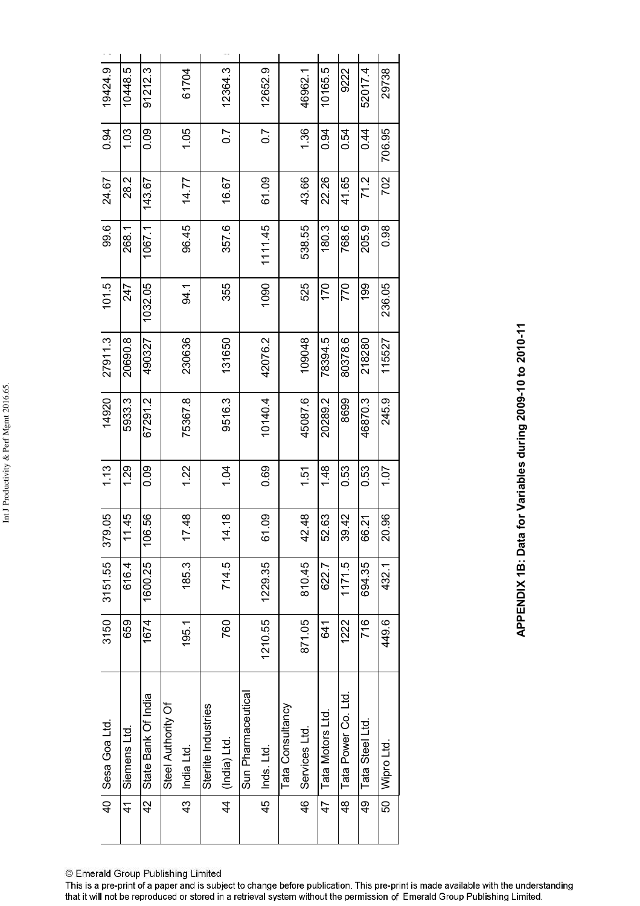| י                                                 |
|---------------------------------------------------|
|                                                   |
|                                                   |
|                                                   |
|                                                   |
|                                                   |
|                                                   |
| ֖֖֖֧֧֧֧֧֧֧֧֧֚֚֚֚֚֚֚֚֚֬֓֓֓֓֓֓֓֓֓֓֓֓֓֓֓֓֓֞֓֓֓֓֓֓֓֓֓ |
|                                                   |
| Š                                                 |
|                                                   |
| i<br>þ                                            |
|                                                   |
|                                                   |
|                                                   |
|                                                   |
|                                                   |
|                                                   |
|                                                   |
|                                                   |
|                                                   |
|                                                   |
| ı                                                 |
|                                                   |
|                                                   |

| 19424.9       | 10448.5      | 91212.3             |                    | 61704      |                     | 12364.3          |                    | 12652.9          |                  | 46962.1       | 10165.5          | 9222               | 52017.4         | 29738      |
|---------------|--------------|---------------------|--------------------|------------|---------------------|------------------|--------------------|------------------|------------------|---------------|------------------|--------------------|-----------------|------------|
| 0.94          | 1.03         | 0.09                |                    | 1.05       |                     | $\overline{0}$ . |                    | $\overline{0}$ . |                  | 1.36          | 0.94             | 0.54               | 0.44            | 706.95     |
| 24.67         | 28.2         | 143.67              |                    | 14.77      |                     | 16.67            |                    | 61.09            |                  | 43.66         | 22.26            | 41.65              | 71.2            | 702        |
| 99.6          | 268.1        | 1067.1              |                    | 96.45      |                     | 357.6            |                    | 1111.45          |                  | 538.55        | 180.3            | 768.6              | 205.9           | 0.98       |
| 101.5         | 247          | 1032.05             |                    | 94.1       |                     | 355              |                    | 1090             |                  | 525           | 170              | 770                | $\frac{8}{2}$   | 236.05     |
| 27911.3       | 20690.8      | 490327              |                    | 230636     |                     | 131650           |                    | 42076.2          |                  | 109048        | 78394.5          | 80378.6            | 218280          | 115527     |
| 14920         | 5933.3       | 67291.2             |                    | 75367.8    |                     | 9516.3           |                    | 10140.4          |                  | 45087.6       | 20289.2          | 8699               | 46870.3         | 245.9      |
| 1.13          | 1.29         | 0.09                |                    | 1.22       |                     | 1.04             |                    | 0.69             |                  | 1.51          | $\frac{48}{1}$   | 0.53               | 0.53            | 10.7       |
| 379.05        | 11.45        | 106.56              |                    | 17.48      |                     | 14.18            |                    | 8<br>61          |                  | 42.48         | 52.63            | 4.<br>39.          | 66.21           | 96<br>20.  |
| 3151.55       | 616.4        | 1600.25             |                    | 185.3      |                     | 714.5            |                    | 1229.35          |                  | 810.45        | 622.7            | 1171.5             | 694.35          | 432.1      |
| 3150          | 659          | 1674                |                    | 195.1      |                     | 760              |                    | 1210.55          |                  | 871.05        | 541              | 1222               | 716             | 449.6      |
| Sesa Goa Ltd. | Siemens Ltd. | State Bank Of India | Steel Authority Of | India Ltd. | Sterlite Industries | (India) Ltd.     | Sun Pharmaceutical | Inds. Ltd.       | Tata Consultancy | Services Ltd. | Tata Motors Ltd. | Tata Power Co. Ltd | Tata Steel Ltd. | Wipro Ltd. |
| $rac{1}{4}$   | 4            | 42                  |                    | 43         |                     | $\frac{4}{4}$    |                    | 45               |                  | $\frac{4}{6}$ | 47               | 48                 | ą<br>4          | 50         |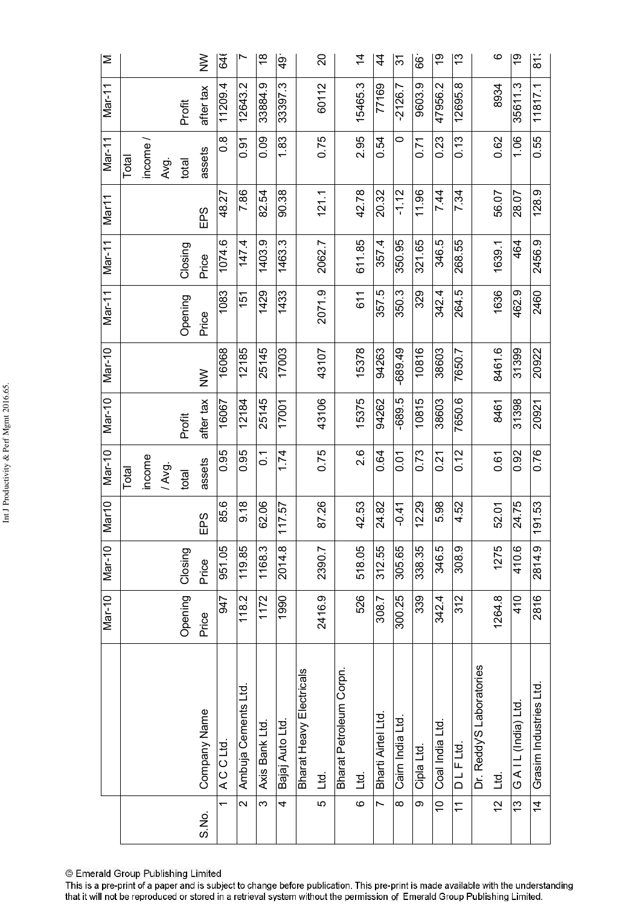| Ż          |       |         |        |         | $\geqq$      | 64ť                                |                                               | $\overset{\infty}{\cdot}$ | $\frac{1}{9}$          |                          | $\Omega$  |                         | $\overline{4}$   | 4                                    | 29                          | <u>မ်</u>       | စ္             | <u>ლ</u>          |                          | ဖ             | င္                    | 8ť                     |
|------------|-------|---------|--------|---------|--------------|------------------------------------|-----------------------------------------------|---------------------------|------------------------|--------------------------|-----------|-------------------------|------------------|--------------------------------------|-----------------------------|-----------------|----------------|-------------------|--------------------------|---------------|-----------------------|------------------------|
| Mar-11     |       |         |        | Profit  | after tax    | 11209.4                            | 12643.2                                       | 33884.9                   | 33397.3                |                          | 60112     |                         | 15465.3          | 77169                                | $-2126.7$                   | 9603.9          | 47956.2        | 12695.8           |                          | 8934          | 35611.3               | 11817.1                |
| $Mar-11$   | Total | income/ | Avg.   | total   | assets       | $\frac{8}{2}$                      | 0.91                                          | 0.09                      | 1.83                   |                          | 0.75      |                         | 2.95             | 0.54                                 | $\circ$                     | 0.71            | 0.23           | 0.13              |                          | 0.62          | 1.06                  | 0.55                   |
| Mar11      |       |         |        |         | EPS          | 48.27                              | 7.86                                          | 82.54                     | 90.38                  |                          | 121.1     |                         | 42.78            | 20.32                                | $-1.12$                     | 11.96           | 7.44           | 7.34              |                          | 56.07         | 28.07                 | 128.9                  |
| $Mar-11$   |       |         |        | Closing | Price        | 1074.6                             | 147.4                                         | 1403.9                    | 1463.3                 |                          | 2062.7    |                         | 611.85           | 357.4                                | 350.95                      | 321.65          | 346.5          | 268.55            |                          | 1639.1        | 464                   | 2456.9                 |
| $Mar-11$   |       |         |        | Opening | Price        | 1083                               | 151                                           | 1429                      | 1433                   |                          | 2071.9    |                         | 611              | 357.5                                | 350.3                       | 329             | 342.4          | 264.5             |                          | 1636          | 462.9                 | 2460                   |
| Mar-10     |       |         |        |         | $\geqq$      | 16068                              | 12185                                         | 25145                     | 17003                  |                          | 43107     |                         | 15378            | 94263                                | -689.49                     | 10816           | 38603          | 7650.7            |                          | 8461.6        | 31399                 | 20922                  |
| $Mar-10$   |       |         |        | Profit  | after tax    | 16067                              | 12184                                         | 25145                     | 17001                  |                          | 43106     |                         | 15375            | 94262                                | $-689.5$                    | 10815           | 38603          | 7650.6            |                          | 8461          | 31398                 | 20921                  |
| Mar-10     | Total | income  | / Avg. | total   | assets       | 0.95                               | 0.95                                          | ္ပြ                       | 1.74                   |                          | 0.75      |                         | 2.6              | 0.64                                 | 0.01                        | 0.73            | 0.21           | 0.12              |                          | 0.61          | 0.92                  | 0.76                   |
| lar10<br>Σ |       |         |        |         | EPS          | 85.6                               | 9.18                                          | 32.06<br>$\bm{\omega}$    | 7.57<br>$\tilde{\tau}$ |                          | 87.26     |                         | <b>2.53</b><br>ч | .4.82<br>$\mathbf{v}$                | $-0.41$                     | 2.29            | 5.98           | 4.52              |                          | 52.01<br>ц)   | 24.75<br>$\mathbf{v}$ | 191.53                 |
| Mar-10     |       |         |        | Closing | Price        | 951.05                             | 119.85                                        | 1168.3                    | 2014.8                 |                          | 2390.7    |                         | 518.05           | 312.55                               | 305.65                      | 338.35          | 346.5          | 308.9             |                          | 1275          | 410.6                 | 2814.9                 |
| $Mar-10$   |       |         |        | Opening | Price        | 547                                | 118.2                                         | 1172                      | 1990                   |                          | 2416.9    |                         | 526              | 308.7                                | 300.25                      | 339             | 342.4          | 312               |                          | 1264.8        | 410                   | 2816                   |
|            |       |         |        |         | Company Name | ACCLtd<br>$\overline{\phantom{0}}$ | Ambuja Cements Ltd<br>$\overline{\mathsf{C}}$ | Axis Bank Ltd.<br>ო       | Bajaj Auto Ltd<br>4    | Bharat Heavy Electricals | Ltd.<br>Ю | Bharat Petroleum Corpn. | Ltd.<br>$\circ$  | Bharti Airtel Ltd.<br>$\overline{ }$ | Caim India Ltd.<br>$\infty$ | Cipla Ltd.<br>တ | Coal India Ltd | D L F Ltd.        | Dr. Reddy'S Laboratories | <u>Ltd</u> .  | GAIL (India) Ltd.     | Grasim Industries Ltd. |
|            |       |         |        |         | S.No.        |                                    |                                               |                           |                        |                          |           |                         |                  |                                      |                             |                 | Ş              | $\overline{\tau}$ |                          | $\frac{1}{2}$ | $\frac{1}{2}$         | $\overline{4}$         |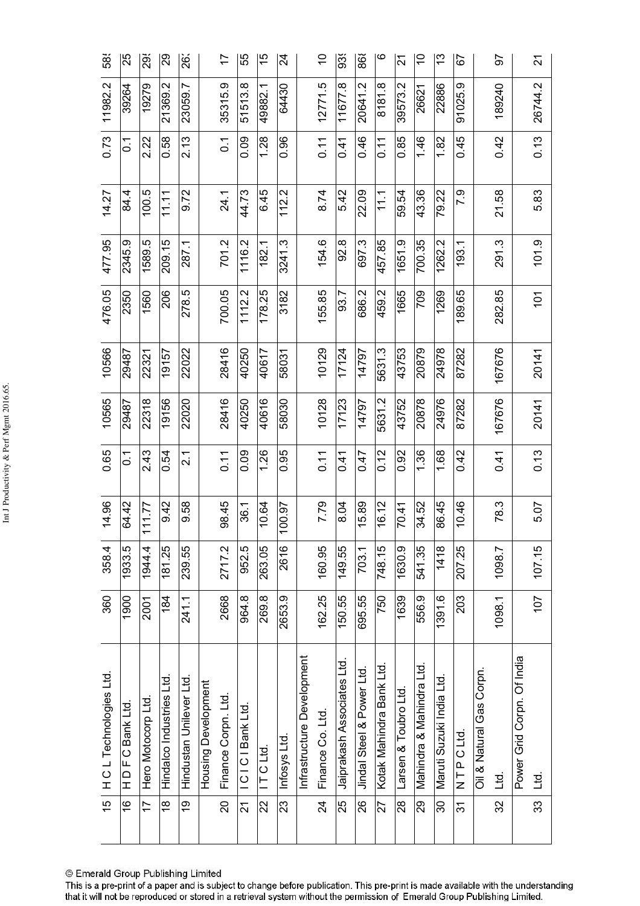| $\frac{1}{2}$  | H C L Technologies Ltd.    | 360    | 358.4  | 4.96                   | 0.65              | 10565  | 10566  | 476.05 | 477.95 | 14.27 | 0.73              | 11982.2 | 58                        |
|----------------|----------------------------|--------|--------|------------------------|-------------------|--------|--------|--------|--------|-------|-------------------|---------|---------------------------|
| $\frac{1}{2}$  | HDFCBank Ltd               | 1900   | 1933.5 | 34.42<br>ڡ             | ္ပြ               | 29487  | 29487  | 2350   | 2345.9 | 84.4  | $\overline{C}$    | 39264   | 25                        |
| $\overline{1}$ | Hero Motocorp Ltd.         | 2001   | 1944.4 | 1.77<br>$\tilde{\tau}$ | 2.43              | 22318  | 22321  | 1560   | 1589.5 | 100.5 | 2.22              | 19279   | $\overline{29}$           |
| $\frac{8}{1}$  | Hindalco Industries Ltd    | 184    | 181.25 | 9.42                   | 0.54              | 19156  | 19157  | 206    | 209.15 | 11.11 | 0.58              | 21369.2 | 29                        |
| <u>စု</u>      | Hindustan Unilever Ltd.    | 241.1  | 239.55 | 9.58                   | $\frac{1}{2}$     | 22020  | 22022  | 278.5  | 287.1  | 9.72  | 2.13              | 23059.7 | $\approx$                 |
|                | Housing Development        |        |        |                        |                   |        |        |        |        |       |                   |         |                           |
| $\Omega$       | Finance Corpn. Ltd.        | 2668   | 2717.2 | 8.45<br>ပ              | $\frac{1}{10}$    | 28416  | 28416  | 700.05 | 701.2  | 24.1  | $\overline{0}$    | 35315.9 | 77                        |
| Z              | ICICIBank Ltd.             | 964.8  | 952.5  | 36.1                   | 0.09              | 40250  | 40250  | 1112.2 | 1116.2 | 44.73 | 0.09              | 51513.8 | 55                        |
| 22             | ITCLtd.                    | 269.8  | 263.05 | 0.64                   | 1.26              | 40616  | 40617  | 178.25 | 182.1  | 6.45  | 1.28              | 49882.1 | $\frac{5}{1}$             |
| 23             | Infosys Ltd                | 2653.9 | 2616   | 10.97<br>₽             | 0.95              | 58030  | 58031  | 3182   | 3241.3 | 112.2 | 0.96              | 64430   | 24                        |
|                | Infrastructure Development |        |        |                        |                   |        |        |        |        |       |                   |         |                           |
| $\overline{2}$ | Finance Co. Ltd.           | 162.25 | 160.95 | 7.79                   | $\overline{0.11}$ | 10128  | 10129  | 155.85 | 154.6  | 8.74  | $\frac{1}{10}$    | 12771.5 | $\widetilde{\phantom{a}}$ |
| 25             | Jaiprakash Associates Ltd. | 150.55 | 149.55 | 8.04                   | 0.41              | 17123  | 17124  | 93.7   | 92.8   | 5.42  | 0.41              | 11677.8 | 93                        |
| 88             | Jindal Steel & Power Ltd.  | 695.55 | 703.1  | 5.89                   | 0.47              | 14797  | 14797  | 686.2  | 697.3  | 22.09 | 0.46              | 20641.2 | 86                        |
| 27             | Kotak Mahindra Bank Ltd    | 750    | 748.15 | 6.12                   | 0.12              | 5631.2 | 5631.3 | 459.2  | 457.85 | 711   | $\overline{0.11}$ | 8181.8  | ဖ                         |
| 28             | Larsen & Toubro Ltd.       | 1639   | 1630.9 | 70.41                  | 0.92              | 43752  | 43753  | 1665   | 1651.9 | 59.54 | 0.85              | 39573.2 | $\overline{2}$            |
| 82             | Mahindra & Mahindra Ltd.   | 556.9  | 541.35 | 34.52<br>ຕຸ            | 1.36              | 20878  | 20879  | 709    | 700.35 | 43.36 | 1.46              | 26621   | S                         |
| 30             | Maruti Suzuki India Ltd.   | 1391.6 | 1418   | 36.45<br>ω             | 1.68              | 24976  | 24978  | 1269   | 1262.2 | 79.22 | 1.82              | 22886   | <u>ლ</u>                  |
| 24             | NTPC <sub>Ltd</sub>        | 203    | 207.25 | 10.46                  | 0.42              | 87282  | 87282  | 189.65 | 193.1  | 7.9   | 0.45              | 91025.9 | 59                        |
|                | Oil & Natural Gas Corpn.   |        |        |                        |                   |        |        |        |        |       |                   |         |                           |
| 32             | Ltd.                       | 1098.1 | 1098.7 | 78.3                   | 0.41              | 167676 | 167676 | 282.85 | 291.3  | 21.58 | 0.42              | 189240  | 50                        |
|                | Power Grid Corpn. Of India |        |        |                        |                   |        |        |        |        |       |                   |         |                           |
| 33             | 모.<br>그                    | 107    | 107.15 | 5.07                   | 0.13              | 20141  | 20141  | 101    | 101.9  | 5.83  | 0.13              | 26744.2 | 21                        |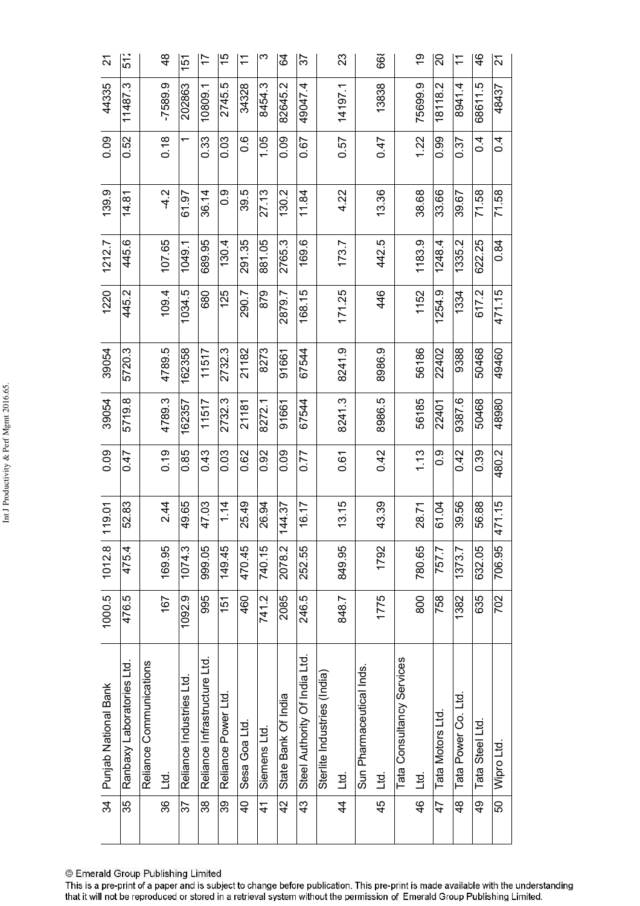| $\overline{2}$         | 512                       |                         | $\frac{8}{3}$ | 151                      |                              | 15                  | $\stackrel{\textstyle\textstyle\sim}{\textstyle\textstyle\sim}$ | ო             | 34                   | 57                            |                             | 23            |                          | 66         |                           | င္           | $\Omega$         | $\stackrel{\textstyle\scriptstyle\smile}{\textstyle\phantom{}}$ | $\frac{4}{6}$   | 21             |
|------------------------|---------------------------|-------------------------|---------------|--------------------------|------------------------------|---------------------|-----------------------------------------------------------------|---------------|----------------------|-------------------------------|-----------------------------|---------------|--------------------------|------------|---------------------------|--------------|------------------|-----------------------------------------------------------------|-----------------|----------------|
| 44335                  | 11487.3                   |                         | $-7589.9$     | 202863                   | 10809.1                      | 2745.5              | 34328                                                           | 8454.3        | 82645.2              | 49047.4                       |                             | 14197.1       |                          | 13838      |                           | 75699.9      | 18118.2          | 8941.4                                                          | 68611.5         | 48437          |
| 0.09                   | 0.52                      |                         | 0.18          |                          | 0.33                         | 0.03                | ە.<br>0                                                         | 1.05          | 0.09                 | 0.67                          |                             | 0.57          |                          | 0.47       |                           | 1.22         | 0.99             | 0.37                                                            | 0.4             | $\overline{0}$ |
| 139.9                  | 14.81                     |                         | $-4.2$        | 61.97                    | 36.14                        | $\frac{0}{2}$       | 39.5                                                            | 27.13         | 130.2                | 11.84                         |                             | 4.22          |                          | 13.36      |                           | 38.68        | 33.66            | 39.67                                                           | 71.58           | 71.58          |
| 1212.7                 | 445.6                     |                         | 107.65        | 1049.1                   | 689.95                       | 130.4               | 291.35                                                          | 881.05        | 2765.3               | 169.6                         |                             | 173.7         |                          | 442.5      |                           | 1183.9       | 1248.4           | 1335.2                                                          | 622.25          | 0.84           |
| 1220                   | 445.2                     |                         | 109.4         | 1034.5                   | 680                          | 125                 | 290.7                                                           | 879           | 2879.7               | 168.15                        |                             | 171.25        |                          | 446        |                           | 1152         | 1254.9           | 1334                                                            | 617.2           | 471.15         |
| 39054                  | 5720.3                    |                         | 4789.5        | 162358                   | 11517                        | 2732.3              | 21182                                                           | 8273          | 91661                | 67544                         |                             | 8241.9        |                          | 8986.9     |                           | 56186        | 22402            | 9388                                                            | 50468           | 49460          |
| 39054                  | 5719.8                    |                         | 4789.3        | 162357                   | 11517                        | 2732.3              | 21181                                                           | 8272.1        | 91661                | 67544                         |                             | 8241.3        |                          | 8986.5     |                           | 56185        | 22401            | 9387.6                                                          | 50468           | 48980          |
| 0.09                   | 0.47                      |                         | 0.19          | 0.85                     | 0.43                         | 0.03                | 0.62                                                            | 0.92          | 0.09                 | 0.77                          |                             | 0.61          |                          | 0.42       |                           | 1.13         | 0.0              | 0.42                                                            | 0.39            | 480.2          |
| 9.01<br>$\overline{ }$ | <b>2.83</b><br>ц,         |                         | 2.44          | 19.65<br>ч               | 17.03                        | 1.14                | 25.49<br>w                                                      | 26.94         | 14.37<br>$\tilde{a}$ | 6.17                          |                             | 3.15          |                          | 13.39      |                           | 28.71        | 61.04            | 39.56                                                           | 56.88<br>ц,     | 471.15         |
| 1012.8                 | 475.4                     |                         | 169.95        | 1074.3                   | 999.05                       | 149.45              | 470.45                                                          | 740.15        | 2078.2               | 252.55                        |                             | 849.95        |                          | 1792       |                           | 780.65       | 757.7            | 1373.7                                                          | 632.05          | 706.95         |
| 1000.5                 | 476.5                     |                         | 167           | 1092.9                   | 995                          | 151                 | 460                                                             | 741.2         | 2085                 | 246.5                         |                             | 848.7         |                          | 1775       |                           | 800          | 758              | 1382                                                            | 635             | 702            |
| Punjab National Bank   | Ranbaxy Laboratories Ltd. | Reliance Communications | <u>td</u>     | Reliance Industries Ltd. | Reliance Infrastructure Ltd. | Reliance Power Ltd. | Sesa Goa Ltd                                                    | Siemens Ltd.  | State Bank Of India  | Steel Authority Of India Ltd. | Sterlite Industries (India) | <u>Ltd</u>    | Sun Pharmaceutical Inds. | <u>Ltd</u> | Tata Consultancy Services | <u>Ltd</u> . | Tata Motors Ltd. | Tata Power Co. Ltd.                                             | Tata Steel Ltd. | Wipro Ltd      |
| 34                     | 35                        |                         | 36            | 57                       | 38                           | 89                  | $\frac{1}{2}$                                                   | $\frac{4}{5}$ | $\frac{4}{2}$        | 43                            |                             | $\frac{4}{3}$ |                          | 45         |                           | 46           | 47               | $\frac{8}{4}$                                                   | QÞ              | 50             |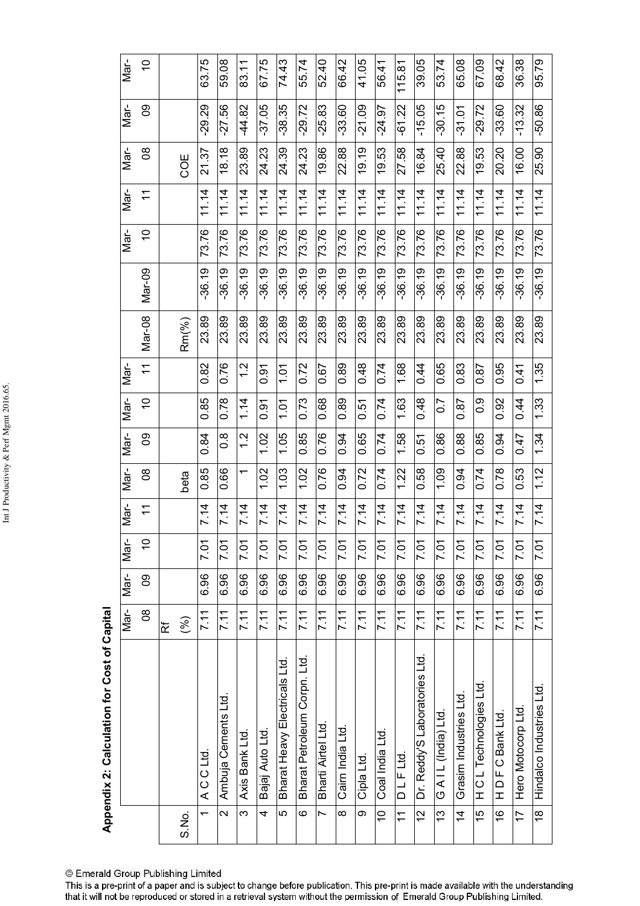Int J Productivity & Perf Mgmt 2016.65. Int J Productivity & Perf Mgmt 2016.65.

> **Appendix 2: Ca (**tion for Cos t of Ca pital

| Mar-   | $\tilde{c}$              |    |       | 63.75                    | 59.08                   | 83.11                    | 67.75           | 74.43                         | 55.74                        | 52.40             | 66.42           | 41.05      | 56.41          | 115.81                  | 39.05                        | 53.74                | 65.08                 | 67.09                  | 68.42        | 36.38             | 95.79                   |
|--------|--------------------------|----|-------|--------------------------|-------------------------|--------------------------|-----------------|-------------------------------|------------------------------|-------------------|-----------------|------------|----------------|-------------------------|------------------------------|----------------------|-----------------------|------------------------|--------------|-------------------|-------------------------|
| Mar-   | 8                        |    |       | $-29.29$                 | $-27.56$                | $-44.82$                 | $-37.05$        | $-38.35$                      | $-29.72$                     | $-25.83$          | $-33.60$        | $-21.09$   | $-24.97$       | $-61.22$                | $-15.05$                     | $-30.15$             | $-31.01$              | $-29.72$               | $-33.60$     | $-13.32$          | $-50.86$                |
| Mar-   | 80                       |    | COE   | 21.37                    | 18.18                   | 23.89                    | 24.23           | 24.39                         | 24.23                        | 19.86             | 22.88           | 19.19      | 19.53          | 27.58                   | 16.84                        | 25.40                | 22.88                 | 19.53                  | 20.20        | 16.00             | 25.90                   |
| Mar-   | $\tilde{\mathcal{L}}$    |    |       | 11.14                    | 11.14                   | 11.14                    | 11.14           | 11.14                         | 11.14                        | 11.14             | 11.14           | 11.14      | 11.14          | 11.14                   | 11.14                        | 11.14                | 11.14                 | 11.14                  | 11.14        | 11.14             | 11.14                   |
| $Mar-$ | $\tilde{0}$              |    |       | 73.76                    | 73.76                   | 73.76                    | 73.76           | 73.76                         | 73.76                        | 73.76             | 73.76           | 73.76      | 73.76          | 73.76                   | 73.76                        | 73.76                | 73.76                 | 73.76                  | 73.76        | 73.76             | 73.76                   |
|        | Mar-09                   |    |       | $-36.19$                 | $-36.19$                | $-36.19$                 | $-36.19$        | $-36.19$                      | $-36.19$                     | $-36.19$          | -36.19          | $-36.19$   | $-36.19$       | $-36.19$                | $-36.19$                     | $-36.19$             | $-36.19$              | $-36.19$               | $-36.19$     | $-36.19$          | $-36.19$                |
|        | Mar-08                   |    | Rm(%) | 23.89                    | 23.89                   | 23.89                    | 23.89           | 23.89                         | 23.89                        | 23.89             | 23.89           | 23.89      | 23.89          | 23.89                   | 23.89                        | 23.89                | 23.89                 | 23.89                  | 23.89        | 23.89             | 23.89                   |
| Mar-   | $\overline{\mathcal{L}}$ |    |       | 0.82                     | 0.76                    | نڊ<br>ب                  | <b>b</b> .0     | 10.7                          | 0.72                         | 0.67              | 0.89            | 0.48       | 0.74           | 1.68                    | 0.44                         | 0.65                 | 0.83                  | 0.87                   | 0.95         | 0.41              | 1.35                    |
| $Mar-$ | $\tilde{0}$              |    |       | 0.85                     | 0.78                    | 1.14                     | $\overline{6}0$ | 101                           | 0.73                         | 0.68              | 0.89            | 0.51       | 0.74           | 1.63                    | 0.48                         | $\overline{0}$ .     | 0.87                  | 0.9                    | 0.92         | 0.44              | 1.33                    |
| Mar-   | පි                       |    |       | 0.84                     | $\frac{8}{1}$           | ب<br>1                   | 1.02            | 1.05                          | 0.85                         | 0.76              | 0.94            | 0.65       | 0.74           | 1.58                    | 0.51                         | 0.86                 | 0.88                  | 0.85                   | 0.94         | 0.47              | 1.34                    |
| Mar-   | $\infty$                 |    | beta  | 0.85                     | 0.66                    | $\overline{\phantom{0}}$ | 1.02            | 1.03                          | 1.02                         | 0.76              | 0.94            | 0.72       | 0.74           | 1.22                    | 0.58                         | 1.09                 | 0.94                  | 0.74                   | 0.78         | 0.53              | 1.12                    |
| Mar-   | $\overline{ }$           |    |       | 7.14                     | 7.14                    | 7.14                     | 7.14            | 7.14                          | 7.14                         | 7.14              | 7.14            | 7.14       | 7.14           | 7.14                    | 7.14                         | 7.14                 | 7.14                  | 7.14                   | 7.14         | 7.14              | 7.14                    |
| Mar-   | $\overline{C}$           |    |       | 7.01                     | <b>7.01</b>             | <b>7.01</b>              | 7.01            | 7.01                          | <b>7.01</b>                  | <b>7.01</b>       | 7.01            | 7.01       | <b>7.01</b>    | <b>7.01</b>             | 7.01                         | 7.01                 | 7.01                  | 7.01                   | 7.01         | <b>7.01</b>       | 7.01                    |
| Mar-   | 80                       |    |       | 6.96                     | 6.96                    | 6.96                     | 6.96            | 6.96                          | 6.96                         | 6.96              | 6.96            | 6.96       | 6.96           | 6.96                    | 6.96                         | 6.96                 | 6.96                  | 6.96                   | 6.96         | 6.96              | 6.96                    |
| Mar-   |                          | Rf | (%)   | 7.11                     | 7.11                    | 7.11                     | 7.11            | 7.11                          | 7.11                         | 7.11              | 7.11            | 7.11       | 7.11           | 7.11                    | 7.11                         | 7.11                 | 7.11                  | 7.11                   | 7.11         | 7.11              | 7.11                    |
|        |                          |    |       | ACC <sub>Ltd</sub>       | Ambuja Cements Ltd      | Axis Bank Ltd.           | Bajaj Auto Ltd  | Bharat Heavy Electricals Ltd. | Bharat Petroleum Corpn. Ltd. | Bharti Airtel Ltd | Cairn India Ltd | Cipla Ltd. | Coal India Ltd | D L F Ltd.              | Dr. Reddy'S Laboratories Ltd | G A I L (India) Ltd. | Grasim Industries Ltd | H C L Technologies Ltd | HDFCBank Ltd | Hero Motocorp Ltd | Hindalco Industries Ltd |
|        |                          |    | S.No. | $\overline{\phantom{0}}$ | $\overline{\mathsf{C}}$ | က                        | 4               | ပ                             | $\circ$                      | $\overline{ }$    | $\infty$        | $\infty$   | $\tilde{a}$    | $\overline{\mathbf{r}}$ | $\frac{1}{2}$                | <u>ლ</u>             | $\dot{4}$             | 45                     | 9            | $\overline{1}$    | $\frac{8}{1}$           |

© Emerald Group Publishing Limited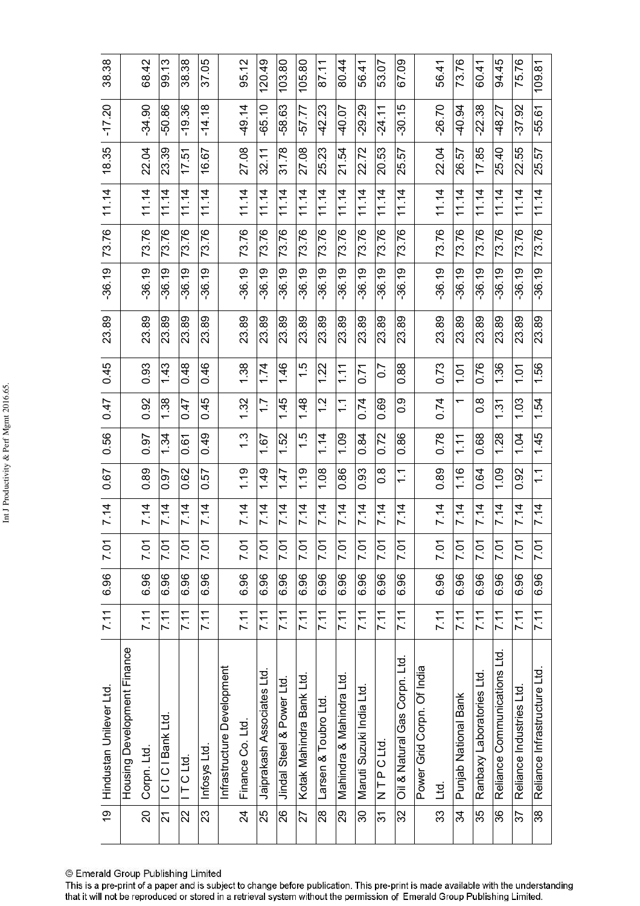| 67              | Hindustan Unilever Ltd        | 7.11           | 6.96 | <b>7.01</b> | 7.14          | 0.67            | 0.56          | 0.47                  | 0.45             | 23.89 | $-36.19$ | 73.76 | 11.14                       | 18.35 | $-17.20$ | 38.38  |
|-----------------|-------------------------------|----------------|------|-------------|---------------|-----------------|---------------|-----------------------|------------------|-------|----------|-------|-----------------------------|-------|----------|--------|
|                 | Housing Development Finance   |                |      |             |               |                 |               |                       |                  |       |          |       |                             |       |          |        |
| 20              | Corpn. Ltd.                   | 7.11           | 6.96 | <b>7.01</b> | 7.14          | 0.89            | 0.97          | 0.92                  | 0.93             | 23.89 | $-36.19$ | 73.76 | 11.14                       | 22.04 | $-34.90$ | 68.42  |
| 21              | ICICIBankLtd                  | 7.11           | 6.96 | <b>7.01</b> | 7.14          | 0.97            | 1.34          | 1.38                  | 1.43             | 23.89 | $-36.19$ | 73.76 | 11.14                       | 23.39 | $-50.86$ | 99.13  |
| 22              | ITC <sub>Ltd</sub>            | 7.11           | 6.96 | <b>7.01</b> | 7.14          | 0.62            | 0.61          | 0.47                  | 0.48             | 23.89 | $-36.19$ | 73.76 | 11.14                       | 17.51 | $-19.36$ | 38.38  |
| 23              | Infosys Ltd.                  | 7.11           | 6.96 | <b>7.01</b> | 7.14          | 0.57            | 0.49          | 0.45                  | 0.46             | 23.89 | $-36.19$ | 73.76 | 11.14                       | 16.67 | $-14.18$ | 37.05  |
|                 | nfrastructure Development     |                |      |             |               |                 |               |                       |                  |       |          |       |                             |       |          |        |
| $\overline{24}$ | Finance Co. Ltd.              | 7.11           | 6.96 | <b>7.01</b> | 7.14          | 1.19            | $\frac{3}{2}$ | 1.32                  | 1.38             | 23.89 | $-36.19$ | 73.76 | 11.14                       | 27.08 | $-49.14$ | 95.12  |
| 25              | Jaiprakash Associates Ltd     | 7.11           | 6.96 | <b>7.01</b> | $\frac{4}{1}$ | $\frac{49}{5}$  | 1.67          | ご                     | 1.74             | 23.89 | $-36.19$ | 73.76 | $\dot{4}$<br>$\overline{1}$ | 32.11 | $-65.10$ | 120.49 |
| 82              | Jindal Steel & Power Ltd.     | 7.11           | 6.96 | <b>7.01</b> | 7.14          | 1.47            | 1.52          | 1.45                  | 1.46             | 23.89 | $-36.19$ | 73.76 | 11.14                       | 31.78 | $-58.63$ | 103.80 |
| 27              | Kotak Mahindra Bank Ltd.      | 7.11           | 6.96 | <b>7.01</b> | 7.14          | $\frac{9}{1}$   | 1.5           | 1.48                  | $\frac{1}{2}$    | 23.89 | $-36.19$ | 73.76 | 11.14                       | 27.08 | -57.77   | 105.80 |
| $\frac{8}{2}$   | Larsen & Toubro Ltd.          | 7.11           | 6.96 | <b>P.OT</b> | 7.14          | 1.08            | 1.14          | $\frac{2}{1}$         | 1.22             | 23.89 | $-36.19$ | 73.76 | 11.14                       | 25.23 | $-42.23$ | 87.11  |
| 29              | Mahindra & Mahindra Ltd.      | 7.11           | 6.96 | <b>7.01</b> | 7.14          | 0.86            | 1.09          | $\tilde{\mathcal{L}}$ | $\tilde{=}$      | 23.89 | $-36.19$ | 73.76 | 11.14                       | 21.54 | $-40.07$ | 80.44  |
| 30              | Maruti Suzuki India Ltd       | 7.11           | 6.96 | <b>7.01</b> | 7.14          | 0.93            | 0.84          | 0.74                  | 0.71             | 23.89 | $-36.19$ | 73.76 | 11.14                       | 22.72 | $-29.29$ | 56.41  |
| 22              | NTP C Ltd.                    | 7.11           | 6.96 | <b>P.OT</b> | 7.14          | 8.O             | 0.72          | 0.69                  | $\overline{0}$ . | 23.89 | $-36.19$ | 73.76 | 11.14                       | 20.53 | $-24.11$ | 53.07  |
| 32              | Oil & Natural Gas Corpn. Ltd. | 7.11           | 6.96 | <b>7.01</b> | 7.14          | $\tilde{\cdot}$ | 0.86          | $\frac{0}{2}$         | 0.88             | 23.89 | $-36.19$ | 73.76 | 11.14                       | 25.57 | $-30.15$ | 67.09  |
|                 | Power Grid Corpn. Of India    |                |      |             |               |                 |               |                       |                  |       |          |       |                             |       |          |        |
| 33              | Ltd.                          | 7.11           | 6.96 | 7.01        | 7.14          | 0.89            | 0.78          | 0.74                  | 0.73             | 23.89 | $-36.19$ | 73.76 | 11.14                       | 22.04 | $-26.70$ | 56.41  |
| 34              | Punjab National Bank          | 7.11           | 6.96 | <b>7.01</b> | 7.14          | 1.16            | 1.11          |                       | 1.01             | 23.89 | $-36.19$ | 73.76 | 11.14                       | 26.57 | $-40.94$ | 73.76  |
| 35              | Ranbaxy Laboratories Ltd      | 7.11           | 6.96 | <b>7.01</b> | 7.14          | 0.64            | 0.68          | 8<br>O                | 0.76             | 23.89 | -36.19   | 73.76 | 11.14                       | 17.85 | $-22.38$ | 60.41  |
| 36              | Reliance Communications Ltd.  | 7.11           | 6.96 | <b>7.01</b> | 7.14          | 1.09            | 1.28          | 131                   | 1.36             | 23.89 | $-36.19$ | 73.76 | 11.14                       | 25.40 | -48.27   | 94.45  |
| 57              | Reliance Industries Ltd       | $\frac{11}{2}$ | 6.96 | 7.01        | $\frac{4}{1}$ | 0.92            | 1.04          | 1.03                  | $\leq$           | 23.89 | $-36.19$ | 73.76 | 11.14                       | 22.55 | $-37.92$ | 75.76  |
| 38              | Reliance Infrastructure Ltd.  | 7.11           | 6.96 | <b>7.01</b> | 7.14          | $\tilde{\cdot}$ | 1.45          | 1.54                  | 1.56             | 23.89 | $-36.19$ | 73.76 | 11.14                       | 25.57 | $-55.61$ | 109.81 |

© Emerald Group Publishing Limited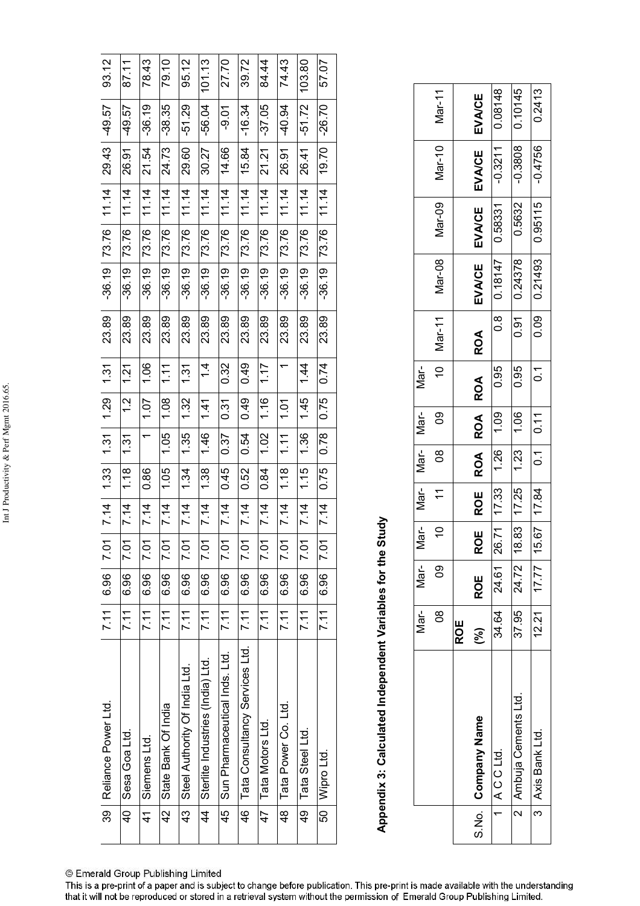| 93.12<br>$-49.57$<br>29.43<br>11.14<br> 73.76 | 87.11<br>$-49.57$<br>26.91<br>11.14 |                                  | 78.43<br>$-36.19$<br>21.54<br>11.14 | 79.10<br>$-38.35$<br>24.73<br>11.14 | 95.12<br>$-51.29$<br>29.60<br>11.14 | 101.13<br>$-56.04$<br>30.27<br>11.14 | 27.70<br>$-9.01$<br>14.66<br>11.14 | 39.72<br>$-16.34$<br>15.84<br>11.14 | 84.44<br>$-37.05$<br>21.21<br>11.14 | 74.43<br>$-40.94$<br>26.91<br>11.14 | 103.80<br>$-51.72$<br>26.41<br>11.14 |
|-----------------------------------------------|-------------------------------------|----------------------------------|-------------------------------------|-------------------------------------|-------------------------------------|--------------------------------------|------------------------------------|-------------------------------------|-------------------------------------|-------------------------------------|--------------------------------------|
|                                               | 73.76<br>$-36.19$                   | 73.76<br>$-36.19$                |                                     | 73.76<br>$-36.19$                   | 73.76<br>$-36.19$                   | 73.76<br>$-36.19$                    | 73.76<br>$-36.19$                  | 73.76<br>$-36.19$                   | 73.76<br>$-36.19$                   | 73.76<br>$-36.19$                   | 73.76<br>$-36.19$                    |
| 23.89<br>1.21                                 |                                     | 23.89<br>1.06                    | 23.89<br>1.11                       |                                     | 23.89<br>1.31                       | 23.89<br>$\frac{1}{4}$               | 23.89<br>0.32                      | 23.89<br>0.49                       | 23.89<br>1.17                       | 23.89<br>$\overline{\phantom{0}}$   | 23.89<br>$\frac{4}{4}$               |
| $-1.31 -$                                     | $\frac{1}{2}$<br>1.31               | 1.07<br>$\overline{\phantom{0}}$ | 1.08<br>1.05                        |                                     | 1.32<br>1.35                        | 1.41<br>1.46                         | 0.31<br>0.37                       | 0.49<br>0.54                        | 1.16<br>1.02                        | $\overline{5}$<br>1.11              | 1.45<br>1.36                         |
| 1.31 <br>1.33                                 | 1.18                                | 0.86                             | 1.05                                |                                     | 1.34                                | 1.38                                 | 0.45                               | 0.52                                | 0.84                                | 1.18                                | 1.15                                 |
| 7.14<br><b>7.01</b>                           | 7.14                                | 7.14                             | 7.14                                |                                     | 7.14                                | 7.14                                 | 7.14                               | 7.14                                | 7.14                                | 7.14                                | 7.14                                 |
|                                               | 7.01<br>6.96                        | 7.01<br>6.96                     | 7.01<br>6.96                        |                                     | 7.01<br>6.96                        | 7.01<br>6.96                         | 7.01<br>6.96                       | 7.01<br>6.96                        | 7.01<br>6.96                        | 7.01<br>6.96                        | 7.01<br>6.96                         |
|                                               | 7.11                                | 7.11                             | 7.11                                |                                     | 7.11                                | 7.11                                 | 7.11                               | 7.11                                | 7.11                                | 7.11                                | 7.11                                 |
| Reliance Power Ltd                            | Sesa Goa Ltd                        | Siemens Ltd                      | State Bank Of India                 |                                     | Steel Authority Of India Ltd.       | Sterlite Industries (India) Ltd.     | Sun Pharmaceutical Inds. Ltd.      | Tata Consultancy Services Ltd.      | Tata Motors Ltd.                    | Tata Power Co. Ltd                  | Tata Steel Ltd                       |
| ဒ္တ                                           | $\frac{4}{3}$                       | 4                                | 4<br>4                              |                                     | 43                                  | 4                                    | 45                                 | 46                                  | $\frac{4}{7}$                       | $\frac{8}{4}$                       | q<br>4                               |



|                         | Vlar- I       | Mar-          | Mar-I Mar-I Mar-I Mar-I           |          | Mar-             |             |                                      |                          |                              |                 |
|-------------------------|---------------|---------------|-----------------------------------|----------|------------------|-------------|--------------------------------------|--------------------------|------------------------------|-----------------|
|                         | 8             | පි            | $10$ 11 08                        | <b>၉</b> |                  | $10$ Mar-11 | $Mar-08$                             | $Mar-09$                 |                              | $Mar-10$ Mar-11 |
|                         | <b>ROE</b>    |               |                                   |          |                  |             |                                      |                          |                              |                 |
| S.No.   Company Name    | $\mathcal{S}$ | <b>ROE</b>    | ROE   ROE   ROA   ROA   ROA       |          |                  | ROA         |                                      | EVA/CE   EVA/CE   EVA/CE |                              | EVA/CE          |
| $1 \wedge C$ Ltd        |               | 34.64 24.61   | 26.71 17.33 1.26 1.09             |          | 0.95             |             | $0.8$ 0.18147 0.58331 0.3211 0.08148 |                          |                              |                 |
| 2   Ambuja Cements Ltd. | 37.95         | 24.72         | $18.83$   $17.25$   $1.23$   1.06 |          | 0.95             |             | 0.91 0.24378                         |                          | $0.5632$   $-0.3808$ 0.10145 |                 |
| 3   Axis Bank Ltd.      |               | $12.21$ 17.77 | $15.67$ $17.84$ 0.1 0.11          |          | 0.1 <sub>1</sub> |             | $0.09$   0.21493   0.95115   0.4756  |                          |                              | 0.2413          |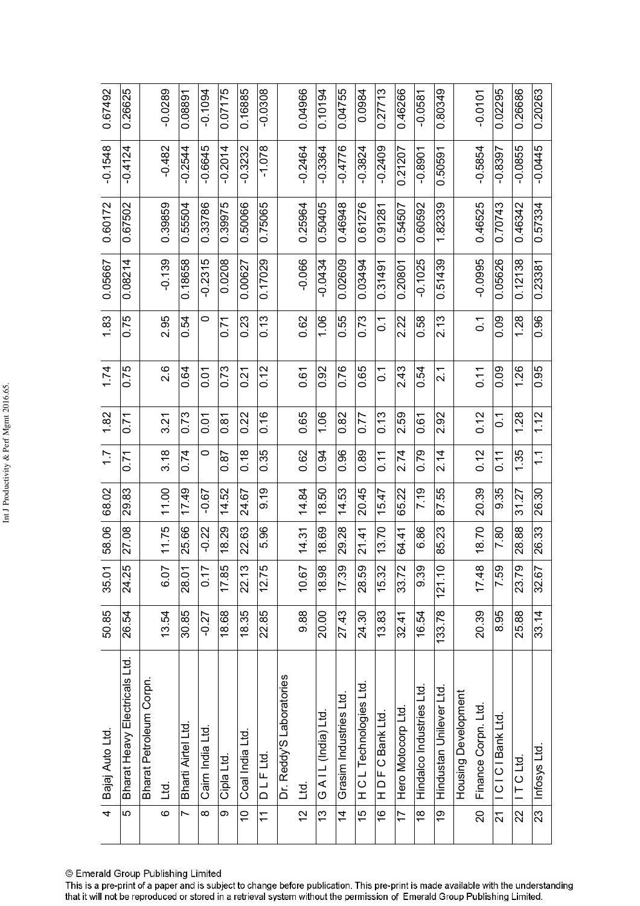| 0.67492          | 0.26625                       |                         | $-0.0289$ | 0.08891           | $-0.1094$        | 0.07175       | 0.16885        | $-0.0308$      |                          | 0.04966   | 0.10194          | 0.04755               | 0.0984                  | 0.27713          | 0.46266            | $-0.0581$               | 0.80349                |                     | $-0.0101$          | 0.02295      | 0.26686            | 0.20263               |
|------------------|-------------------------------|-------------------------|-----------|-------------------|------------------|---------------|----------------|----------------|--------------------------|-----------|------------------|-----------------------|-------------------------|------------------|--------------------|-------------------------|------------------------|---------------------|--------------------|--------------|--------------------|-----------------------|
| $-0.1548$        | $-0.4124$                     |                         | $-0.482$  | $-0.2544$         | $-0.6645$        | $-0.2014$     | $-0.3232$      | $-1.078$       |                          | $-0.2464$ | $-0.3364$        | $-0.4776$             | $-0.3824$               | $-0.2409$        | 0.21207            | $-0.8901$               | 0.50591                |                     | $-0.5854$          | $-0.8397$    | $-0.0855$          | $-0.0445$             |
| 0.60172          | 0.67502                       |                         | 0.39859   | 0.55504           | 0.33786          | 0.39975       | 0.50066        | 0.75065        |                          | 0.25964   | 0.50405          | 0.46948               | 0.61276                 | 0.91281          | 0.54507            | 0.60592                 | 1.82339                |                     | 0.46525            | 0.70743      | 0.46342            | 0.57334               |
| 0.05667          | 0.08214                       |                         | $-0.139$  | 0.18658           | $-0.2315$        | 0.0208        | 0.00627        | 0.17029        |                          | $-0.066$  | $-0.0434$        | 0.02609               | 0.03494                 | 0.31491          | 0.20801            | $-0.1025$               | 0.51439                |                     | $-0.0995$          | 0.05626      | 0.12138            | 0.23381               |
| 1.83             | 0.75                          |                         | 2.95      | 0.54              | 0                | 0.71          | 0.23           | 0.13           |                          | 0.62      | 1.06             | 0.55                  | 0.73                    | $\overline{0}$ : | 2.22               | 0.58                    | 2.13                   |                     | $\overline{C}$     | 0.09         | 1.28               | 0.96                  |
| 1.74             | 0.75                          |                         | 2.6       | 0.64              | <b>PO</b>        | 0.73          | 0.21           | 0.12           |                          | 0.61      | 0.92             | 0.76                  | 0.65                    | $\overline{C}$   | 2.43               | 0.54                    | 21<br>21               |                     | $\overline{0.11}$  | 0.09         | 1.26               | 0.95                  |
| 1.82             | 77                            |                         | 3.21      | 0.73              | 50.07            | $\frac{8}{1}$ | 0.22           | 0.16           |                          | 0.65      | 1.06             | 0.82                  | 0.77                    | 0.13             | 2.59               | 0.61                    | 2.92                   |                     | 0.12               | <u>်</u>     | 1.28               | 1.12                  |
| $\overline{1}$ . | 71                            |                         | 3.18      | 0.74              | 0                | 0.87          | 0.18           | 0.35           |                          | 0.62      | 0.94             | 0.96                  | 0.89                    | $\frac{1}{2}$    | 2.74               | 0.79                    | 2.14                   |                     | 0.12               | 0.11         | 1.35               | $\tilde{\mathcal{L}}$ |
| 68.02            | 29.83                         |                         | 11.00     | 17.49             | $-0.67$          | 14.52         | 24.67          | 9.19           |                          | 14.84     | 18.50            | 14.53                 | 20.45                   | 15.47            | 65.22              | 7.19                    | 87.55                  |                     | 20.39              | 9.35         | 31.27              | 26.30                 |
| 58.06            | 27.08                         |                         | 11.75     | 25.66             | $-0.22$          | 18.29         | 22.63          | 5.96           |                          | 14.31     | 18.69            | 29.28                 | 21.41                   | 13.70            | 64.41              | 6.86                    | 85.23                  |                     | 18.70              | 7.80         | 28.88              | 26.33                 |
| 35.01            | 24.25                         |                         | 6.07      | 28.01             | 0.17             | 17.85         | 22.13          | 12.75          |                          | 10.67     | 18.98            | 17.39                 | 28.59                   | 15.32            | 33.72              | 9.39                    | 121.10                 |                     | 17.48              | 7.59         | 23.79              | 32.67                 |
| 50.85            | 26.54                         |                         | 13.54     | 30.85             | $-0.27$          | 18.68         | 18.35          | 22.85          |                          | 9.88      | 20.00            | 27.43                 | 24.30                   | 13.83            | 32.41              | 16.54                   | 133.78                 |                     | 20.39              | 8.95         | 25.88              | 33.14                 |
| Bajaj Auto Ltd   | Bharat Heavy Electricals Ltd. | Bharat Petroleum Corpn. | Ltd.      | Bharti Airtel Ltd | Cairn India Ltd. | Cipla Ltd.    | Coal India Ltd | D L F Ltd.     | Dr. Reddy'S Laboratories | Ltd.      | GAIL (India) Ltd | Grasim Industries Ltd | H C L Technologies Ltd. | HDFCBank Ltd     | Hero Motocorp Ltd. | Hindalco Industries Ltd | Hindustan Unilever Ltd | Housing Development | Finance Corpn. Ltd | ICICIBankLtd | ITC <sub>Ltd</sub> | Infosys Ltd           |
| $\overline{4}$   | 5                             |                         | ဖ         | $\overline{a}$    | $\infty$         | σ             | $\tilde{C}$    | $\overline{a}$ |                          | 12        | 13               | $\overline{4}$        | 15                      | $\frac{6}{5}$    | $\overline{1}$     | $\frac{8}{1}$           | စ္                     |                     | 20                 | Z            | 22                 | 23                    |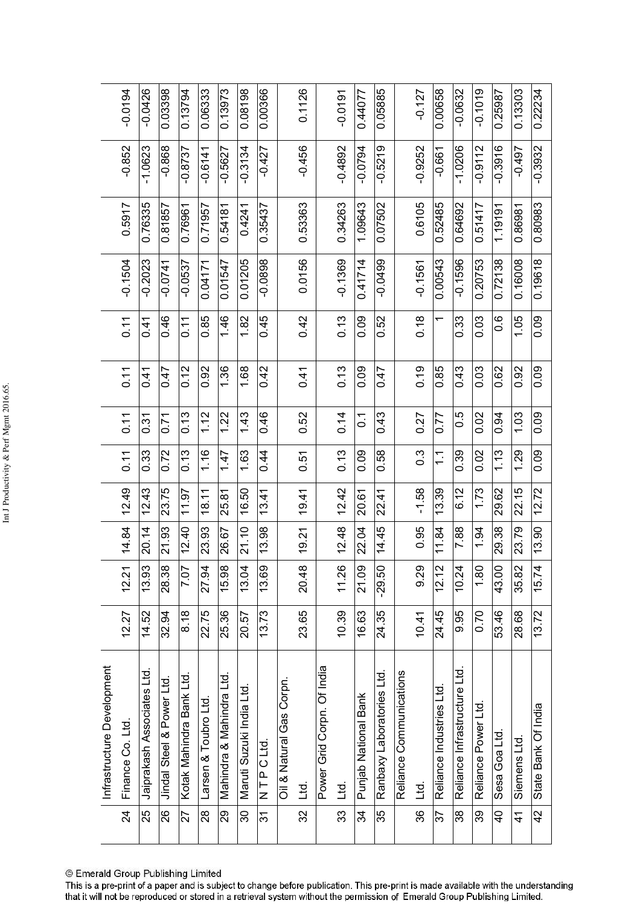|                            | $-0.0194$                | $-0.0426$                 | 0.03398                   | 0.13794                  | 0.06333              | 0.13973                  | 0.08198                 | 0.00366       |                          | 0.1126   |                            | $-0.0191$    | 0.44077              | 0.05885                   |                         | $-0.127$         | 0.00658                  | $-0.0632$                    | $-0.1019$          | 0.25987       | 0.13303      | 0.22234             |
|----------------------------|--------------------------|---------------------------|---------------------------|--------------------------|----------------------|--------------------------|-------------------------|---------------|--------------------------|----------|----------------------------|--------------|----------------------|---------------------------|-------------------------|------------------|--------------------------|------------------------------|--------------------|---------------|--------------|---------------------|
|                            | $-0.852$                 | $-1.0623$                 | $-0.868$                  | $-0.8737$                | $-0.6141$            | $-0.5627$                | $-0.3134$               | $-0.427$      |                          | $-0.456$ |                            | $-0.4892$    | $-0.0794$            | $-0.5219$                 |                         | $-0.9252$        | $-0.661$                 | $-1.0206$                    | $-0.9112$          | $-0.3916$     | $-0.497$     | $-0.3932$           |
|                            | 0.5917                   | 0.76335                   | 0.81857                   | 0.76961                  | 0.71957              | 0.54181                  | 0.4241                  | 0.35437       |                          | 0.53363  |                            | 0.34263      | 1.09643              | 0.07502                   |                         | 0.6105           | 0.52485                  | 0.64692                      | 0.51417            | 1.19191       | 0.86981      | 0.80983             |
|                            | $-0.1504$                | $-0.2023$                 | $-0.0741$                 | $-0.0537$                | 0.04171              | 0.01547                  | 0.01205                 | $-0.0898$     |                          | 0.0156   |                            | $-0.1369$    | 0.41714              | -0.0499                   |                         | $-0.1561$        | 0.00543                  | $-0.1596$                    | 0.20753            | 0.72138       | 0.16008      | 0.19618             |
|                            | $\overline{0.11}$        | 0.41                      | 0.46                      | $\overline{11}$          | 0.85                 | 1.46                     | 1.82                    | 0.45          |                          | 0.42     |                            | 0.13         | 0.09                 | 0.52                      |                         | 0.18             | $\overline{\phantom{0}}$ | 0.33                         | 0.03               | 0.6           | 1.05         | 0.09                |
|                            | 0.11                     | 0.41                      | 0.47                      | 0.12                     | 0.92                 | 1.36                     | 1.68                    | 0.42          |                          | 0.41     |                            | 0.13         | 0.09                 | 0.47                      |                         | 0.19             | 0.85                     | 0.43                         | 0.03               | 0.62          | 0.92         | 0.09                |
|                            | 0.11                     | $\overline{0.31}$         | 0.71                      | 0.13                     | 1.12                 | 1.22                     | 1.43                    | 0.46          |                          | 0.52     |                            | 0.14         | $\overline{c}$       | 0.43                      |                         | 0.27             | 0.77                     | 0.5                          | 0.02               | 0.94          | 1.03         | 0.09                |
|                            | 0.11                     | 0.33                      | 0.72                      | 0.13                     | 1.16                 | 1.47                     | 1.63                    | 0.44          |                          | 0.51     |                            | 0.13         | 0.09                 | 0.58                      |                         | $0.\overline{3}$ | こ                        | 0.39                         | 0.02               | 1.13          | 1.29         | 0.09                |
|                            | 12.49                    | 12.43                     | 23.75                     | 11.97                    | 18.11                | 25.81                    | 16.50                   | 13.41         |                          | 19.41    |                            | 12.42        | 20.61                | 22.41                     |                         | $-1.58$          | 13.39                    | 6.12                         | 1.73               | 29.62         | 22.15        | 12.72               |
|                            | 14.84                    | 20.14                     | 21.93                     | 12.40                    | 23.93                | 26.67                    | 21.10                   | 13.98         |                          | 19.21    |                            | 12.48        | 22.04                | 14.45                     |                         | 0.95             | 11.84                    | 7.88                         | 1.94               | 29.38         | 23.79        | 13.90               |
|                            | 12.21                    | 13.93                     | 28.38                     | 7.07                     | 27.94                | 15.98                    | 13.04                   | 13.69         |                          | 20.48    |                            | 11.26        | 21.09                | $-29.50$                  |                         | 0.29             | 12.12                    | 10.24                        | 1.80               | 43.00         | 35.82        | 15.74               |
|                            | 12.27                    | 14.52                     | 32.94                     | 8.18                     | 22.75                | 25.36                    | 20.57                   | 13.73         |                          | 23.65    |                            | 10.39        | 16.63                | 24.35                     |                         | 10.41            | 24.45                    | 9.95                         | 0.70               | 53.46         | 28.68        | 13.72               |
| Infrastructure Development | Finance Co. Ltd.         | Jaiprakash Associates Ltd | Jindal Steel & Power Ltd. | Kotak Mahindra Bank Ltd. | Larsen & Toubro Ltd. | Mahindra & Mahindra Ltd. | Maruti Suzuki India Ltd | NTP CLtd.     | Oil & Natural Gas Corpn. | Ltd.     | Power Grid Corpn. Of India | <u>Ltd</u> . | Punjab National Bank | Ranbaxy Laboratories Ltd. | Reliance Communications | <u>Ltd</u>       | Reliance Industries Ltd. | Reliance Infrastructure Ltd. | Reliance Power Ltd | Sesa Goa Ltd. | Siemens Ltd. | State Bank Of India |
|                            | $\overline{\mathcal{A}}$ | 25                        | 88                        | 27                       | $\frac{8}{2}$        | 82                       | $\infty$                | $\frac{1}{2}$ |                          | 32       |                            | 33           | 34                   | 35                        |                         | 86               | 57                       | 38                           | 89                 | $\frac{1}{2}$ | $\mathbf{A}$ | 42                  |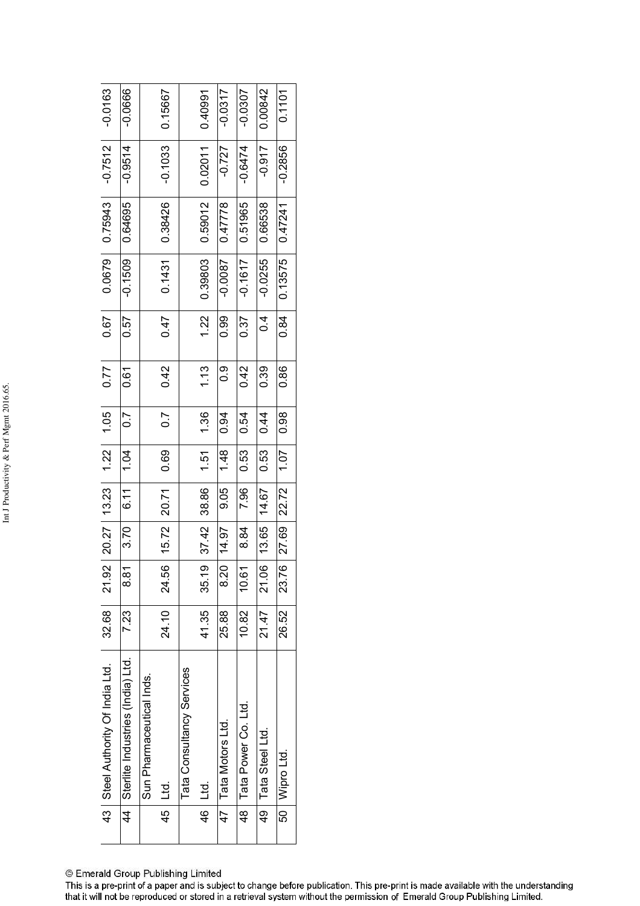| ı           |
|-------------|
| Š<br>b<br>i |
| ١           |

| $\frac{3}{3}$  | Steel Authority Of India Ltd.    | 32.68 | 21.92 |             | 20.27   13.23   1.22   1.05 |               |                  | 0.77 | 0.67          | 0.0679                     | 0.75943 | $-0.7512$ | $-0.0163$ |
|----------------|----------------------------------|-------|-------|-------------|-----------------------------|---------------|------------------|------|---------------|----------------------------|---------|-----------|-----------|
| 4<br>4         | Sterlite Industries (India) Ltd. | 7.23  | 831   |             | $3.70$ 6.11                 | 1.04          | $\overline{0}$ . | 0.61 | 0.57          | $-0.1509$                  | 0.64695 | $-0.9514$ | $-0.0666$ |
|                | Sun Pharmaceutical Inds.         |       |       |             |                             |               |                  |      |               |                            |         |           |           |
| 45             | <u>td</u>                        | 24.10 | 24.56 |             | 15.72 20.71                 | 0.69          | $\overline{0.7}$ | 0.42 | 0.47          | 0.1431                     | 0.38426 | $-0.1033$ | 0.15667   |
|                | Tata Consultancy Services        |       |       |             |                             |               |                  |      |               |                            |         |           |           |
| 46             | E                                | 41.35 | 35.19 |             | 37.42 38.86                 | $1.51$ $1.36$ |                  | 1.13 | 1.22          | 0.39803                    | 0.59012 | 0.02011   | 0.40991   |
| 47             | Tata Motors Ltd.                 | 25.88 | 8.20  | 14.97       | 9.05                        | 1.48          | 0.94             | 0.0  | 0.99          | $-0.0087$                  | 0.47778 | $-0.727$  | $-0.0317$ |
| $\frac{48}{3}$ | Tata Power Co. Ltd.              | 10.82 | 10.61 | 8.84        | 7.96                        | 0.53          | 0.54             | 0.42 | 0.37          | $-0.1617$                  | 0.51965 | $-0.6474$ | $-0.0307$ |
| $\frac{4}{9}$  | Tata Steel Ltd.                  | 21.47 | 21.06 | 13.65 14.67 |                             | 0.53          | 0.44             | 0.39 | $\frac{4}{1}$ | $-0.0255$                  | 0.66538 | $-0.917$  | 0.00842   |
| 50             | Wipro Ltd                        | 26.52 | 23.76 |             | 27.69   22.72               | 1.07 0.98     |                  | 0.86 |               | $0.84$   0.13575   0.47241 |         | $-0.2856$ | 0.1101    |
|                |                                  |       |       |             |                             |               |                  |      |               |                            |         |           |           |

© Emerald Group Publishing Limited<br>This is a pre-print of a paper and is subject to change before publication. This pre-print is made available with the understanding<br>that it will not be reproduced or stored in a retrieval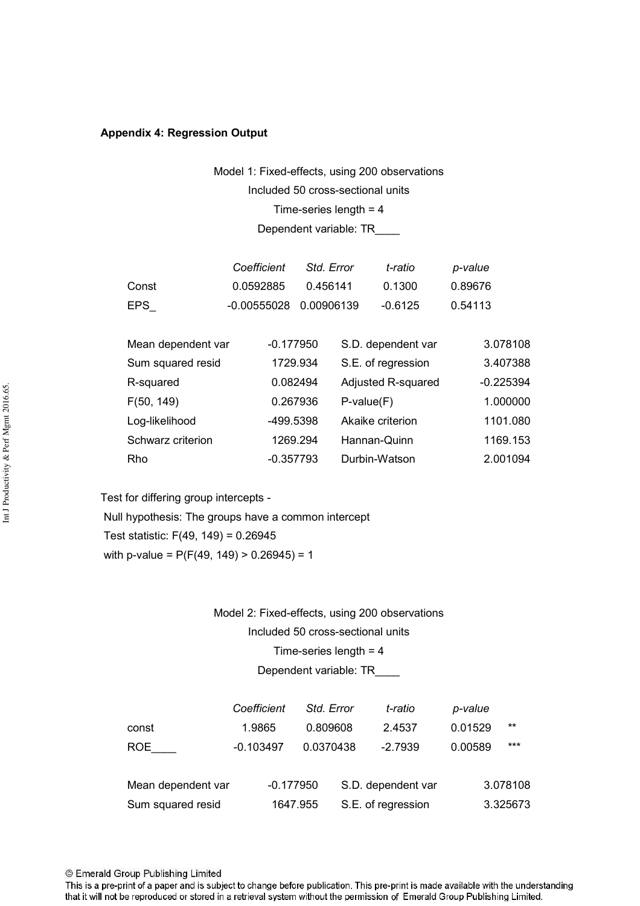#### **Appendix 4: Regression Output**

# Model 1: Fixed-effects, using 200 observations Included 50 cross-sectional units Time-series length  $= 4$ Dependent variable: TR\_\_\_\_

|                    | Coefficient   | Std. Error |                    | t-ratio            | p-value     |
|--------------------|---------------|------------|--------------------|--------------------|-------------|
| Const              | 0.0592885     | 0.456141   |                    | 0.1300             | 0.89676     |
| <b>EPS</b>         | $-0.00555028$ | 0.00906139 |                    | $-0.6125$          | 0.54113     |
|                    |               |            |                    |                    |             |
| Mean dependent var | $-0.177950$   |            | S.D. dependent var |                    | 3.078108    |
| Sum squared resid  |               | 1729.934   | S.E. of regression |                    | 3.407388    |
| R-squared          |               | 0.082494   |                    | Adjusted R-squared | $-0.225394$ |
| F(50, 149)         |               | 0.267936   | $P-value(F)$       |                    | 1.000000    |
| Log-likelihood     | -499.5398     |            | Akaike criterion   |                    | 1101.080    |
| Schwarz criterion  |               | 1269.294   | Hannan-Quinn       |                    | 1169.153    |
| Rho                | $-0.357793$   |            | Durbin-Watson      |                    | 2.001094    |

Test for differing group intercepts Null hypothesis: The groups have a common intercept Test statistic: F(49, 149) = 0.26945 with p-value =  $P(F(49, 149) > 0.26945) = 1$ 

#### Model 2: Fixed-effects, using 200 observations

#### Included 50 cross-sectional units

# Time-series length  $= 4$

Dependent variable: TR\_\_\_\_

|                    | Coefficient | Std. Error | t-ratio            | p-value |          |
|--------------------|-------------|------------|--------------------|---------|----------|
| const              | 1.9865      | 0.809608   | 2.4537             | 0.01529 | $***$    |
| <b>ROE</b>         | $-0.103497$ | 0.0370438  | $-2.7939$          | 0.00589 | $***$    |
| Mean dependent var | $-0.177950$ |            | S.D. dependent var |         | 3.078108 |
| Sum squared resid  |             | 1647.955   | S.E. of regression |         | 3.325673 |

© Emerald Group Publishing Limited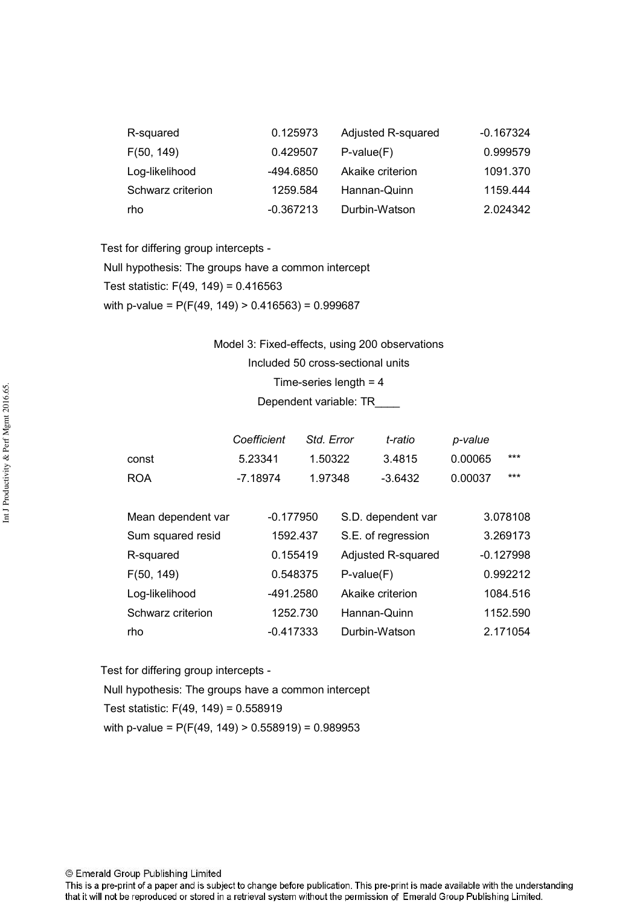| R-squared         | 0.125973    | <b>Adjusted R-squared</b> | -0.167324 |
|-------------------|-------------|---------------------------|-----------|
| F(50, 149)        | 0.429507    | $P-value(F)$              | 0.999579  |
| Log-likelihood    | -494.6850   | Akaike criterion          | 1091.370  |
| Schwarz criterion | 1259.584    | Hannan-Quinn              | 1159.444  |
| rho               | $-0.367213$ | Durbin-Watson             | 2.024342  |

Test for differing group intercepts

Null hypothesis: The groups have a common intercept

Test statistic: F(49, 149) = 0.416563

with p-value =  $P(F(49, 149) > 0.416563) = 0.999687$ 

Model 3: Fixed-effects, using 200 observations Included 50 cross-sectional units Time-series length  $= 4$ Dependent variable: TR\_\_\_\_

|                    | Coefficient | Std. Error | t-ratio            | p-value |             |
|--------------------|-------------|------------|--------------------|---------|-------------|
| const              | 5.23341     | 1.50322    | 3.4815             | 0.00065 | $***$       |
| <b>ROA</b>         | $-7.18974$  | 1.97348    | $-3.6432$          | 0.00037 | $***$       |
|                    |             |            |                    |         |             |
| Mean dependent var | $-0.177950$ |            | S.D. dependent var |         | 3.078108    |
| Sum squared resid  | 1592.437    |            | S.E. of regression |         | 3.269173    |
| R-squared          | 0.155419    |            | Adjusted R-squared |         | $-0.127998$ |
| F(50, 149)         | 0.548375    |            | $P-value(F)$       |         | 0.992212    |
| Log-likelihood     | -491.2580   |            | Akaike criterion   |         | 1084.516    |
| Schwarz criterion  | 1252.730    |            | Hannan-Quinn       |         | 1152.590    |
| rho                | $-0.417333$ |            | Durbin-Watson      |         | 2.171054    |

Test for differing group intercepts

Null hypothesis: The groups have a common intercept

Test statistic: F(49, 149) = 0.558919

with p-value =  $P(F(49, 149) > 0.558919) = 0.989953$ 

© Emerald Group Publishing Limited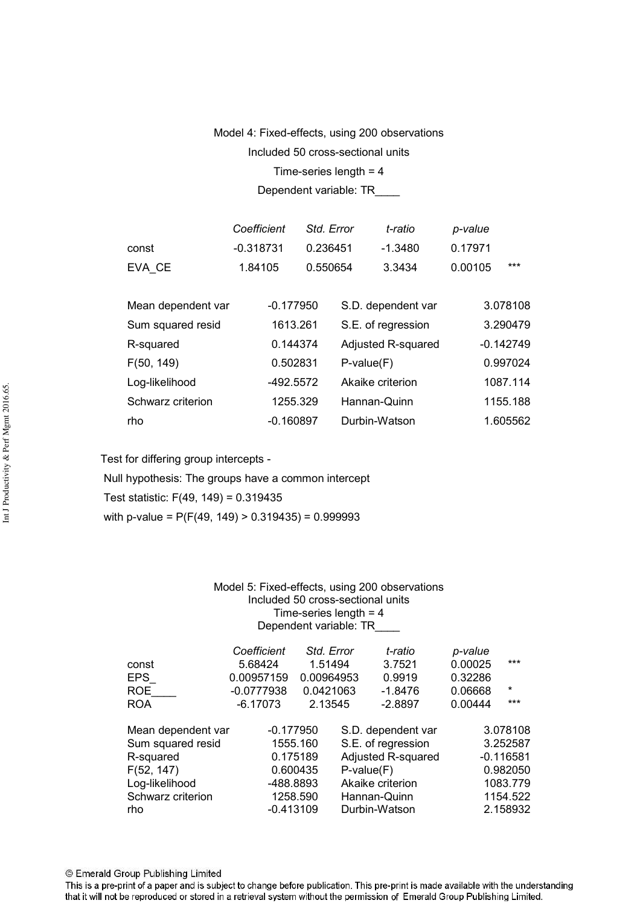#### Model 4: Fixed-effects, using 200 observations

Included 50 cross-sectional units

Time-series length  $= 4$ 

Dependent variable: TR\_\_\_\_

|        | Coefficient | Std. Error | t-ratio | p-value |     |
|--------|-------------|------------|---------|---------|-----|
| const  | -0.318731   | 0.236451   | -1.3480 | 0.17971 |     |
| EVA CE | 1.84105     | 0.550654   | 3.3434  | 0.00105 | *** |

| Mean dependent var | $-0.177950$ | S.D. dependent var | 3.078108    |
|--------------------|-------------|--------------------|-------------|
| Sum squared resid  | 1613.261    | S.E. of regression | 3.290479    |
| R-squared          | 0.144374    | Adjusted R-squared | $-0.142749$ |
| F(50, 149)         | 0.502831    | $P-value(F)$       | 0.997024    |
| Log-likelihood     | -492.5572   | Akaike criterion   | 1087.114    |
| Schwarz criterion  | 1255.329    | Hannan-Quinn       | 1155.188    |
| rho                | $-0.160897$ | Durbin-Watson      | 1.605562    |

Test for differing group intercepts

 Null hypothesis: The groups have a common intercept Test statistic: F(49, 149) = 0.319435 with p-value =  $P(F(49, 149) > 0.319435) = 0.999993$ 

#### Model 5: Fixed-effects, using 200 observations Included 50 cross-sectional units Time-series length  $= 4$ Dependent variable: TR\_\_\_\_

| const                                   | Coefficient<br>5.68424 | Std. Error<br>1.51494 |              | t-ratio<br>3.7521                        | p-value<br>0.00025 | $***$                |
|-----------------------------------------|------------------------|-----------------------|--------------|------------------------------------------|--------------------|----------------------|
| <b>EPS</b>                              | 0.00957159             | 0.00964953            |              | 0.9919                                   | 0.32286            |                      |
| <b>ROE</b>                              | $-0.0777938$           | 0.0421063             |              | $-1.8476$                                | 0.06668            | *                    |
| <b>ROA</b>                              | $-6.17073$             | 2.13545               |              | $-2.8897$                                | 0.00444            | $***$                |
| Mean dependent var<br>Sum squared resid | $-0.177950$            | 1555.160              |              | S.D. dependent var<br>S.E. of regression |                    | 3.078108<br>3.252587 |
| R-squared                               | 0.175189               |                       |              | Adjusted R-squared                       |                    | $-0.116581$          |
| F(52, 147)                              | 0.600435               |                       | $P-value(F)$ |                                          |                    | 0.982050             |
| Log-likelihood                          | -488.8893              |                       |              | Akaike criterion                         |                    | 1083.779             |
| Schwarz criterion                       |                        | 1258.590              |              | Hannan-Quinn                             |                    | 1154.522             |
| rho                                     | $-0.413109$            |                       |              | Durbin-Watson                            |                    | 2.158932             |

© Emerald Group Publishing Limited

This is a pre-print of a paper and is subject to change before publication. This pre-print is made available with the understanding that it will not be reproduced or stored in a retrieval system without the permission of Emerald Group Publishing Limited.